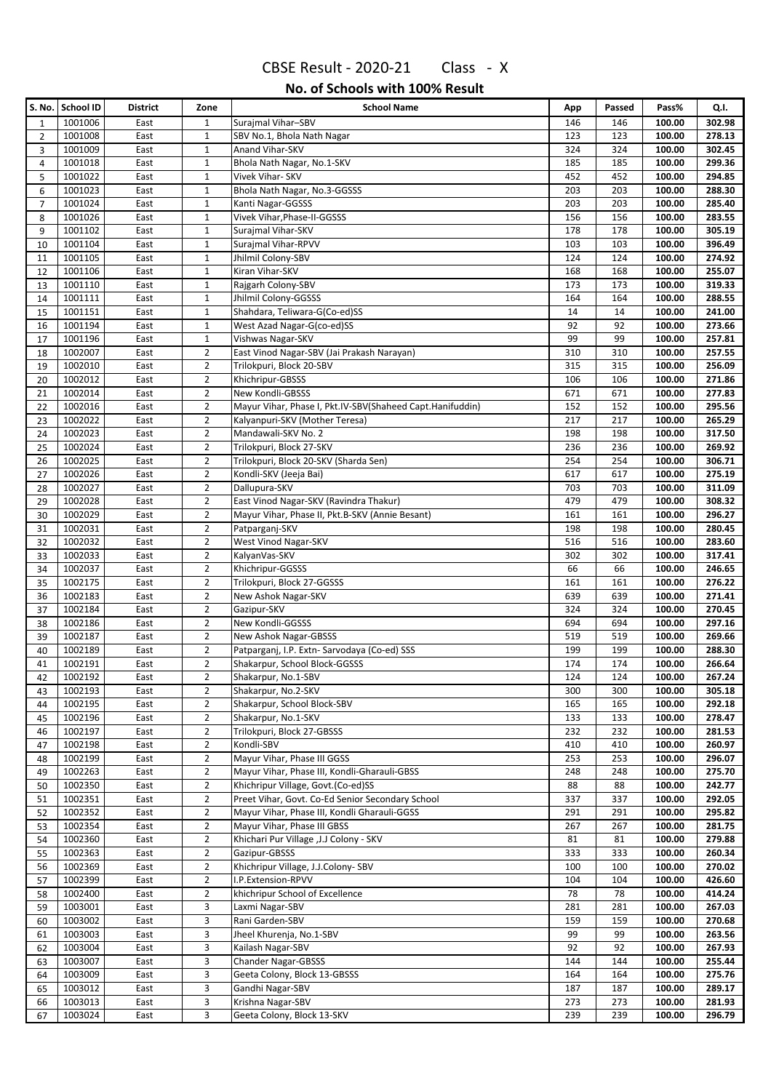|                | S. No. School ID   | <b>District</b> | Zone                             | <b>School Name</b>                                        | App        | Passed     | Pass%            | Q.I.             |
|----------------|--------------------|-----------------|----------------------------------|-----------------------------------------------------------|------------|------------|------------------|------------------|
| 1              | 1001006            | East            | $1\,$                            | Surajmal Vihar-SBV                                        | 146        | 146        | 100.00           | 302.98           |
| $\overline{2}$ | 1001008            | East            | $\mathbf{1}$                     | SBV No.1, Bhola Nath Nagar                                | 123        | 123        | 100.00           | 278.13           |
| 3              | 1001009            | East            | $\mathbf{1}$                     | Anand Vihar-SKV                                           | 324        | 324        | 100.00           | 302.45           |
| 4              | 1001018            | East            | $\mathbf{1}$                     | Bhola Nath Nagar, No.1-SKV                                | 185        | 185        | 100.00           | 299.36           |
| 5              | 1001022            | East            | $\mathbf{1}$                     | Vivek Vihar- SKV                                          | 452        | 452        | 100.00           | 294.85           |
| 6              | 1001023            | East            | $\mathbf{1}$                     | Bhola Nath Nagar, No.3-GGSSS                              | 203        | 203        | 100.00           | 288.30           |
| $\overline{7}$ | 1001024            | East            | $\mathbf{1}$                     | Kanti Nagar-GGSSS                                         | 203        | 203        | 100.00           | 285.40           |
| 8              | 1001026            | East            | $1\,$                            | Vivek Vihar, Phase-II-GGSSS                               | 156        | 156        | 100.00           | 283.55           |
| 9              | 1001102            | East            | $\mathbf{1}$                     | Surajmal Vihar-SKV                                        | 178        | 178        | 100.00           | 305.19           |
| 10             | 1001104            | East            | $\mathbf{1}$                     | Surajmal Vihar-RPVV                                       | 103        | 103        | 100.00           | 396.49           |
| 11             | 1001105            | East            | $\mathbf 1$                      | Jhilmil Colony-SBV                                        | 124        | 124        | 100.00           | 274.92           |
| 12             | 1001106            | East            | $\mathbf{1}$                     | Kiran Vihar-SKV                                           | 168        | 168        | 100.00           | 255.07           |
| 13             | 1001110            | East            | $\mathbf{1}$                     | Rajgarh Colony-SBV                                        | 173        | 173        | 100.00           | 319.33           |
| 14             | 1001111            | East            | $\mathbf{1}$                     | Jhilmil Colony-GGSSS                                      | 164        | 164        | 100.00           | 288.55           |
| 15             | 1001151            | East            | $\mathbf{1}$                     | Shahdara, Teliwara-G(Co-ed)SS                             | 14         | 14         | 100.00           | 241.00           |
| 16             | 1001194            | East            | $\mathbf{1}$                     | West Azad Nagar-G(co-ed)SS                                | 92         | 92         | 100.00           | 273.66           |
| 17             | 1001196            | East            | $\mathbf{1}$                     | Vishwas Nagar-SKV                                         | 99         | 99         | 100.00           | 257.81           |
| 18             | 1002007            | East            | $\overline{2}$                   | East Vinod Nagar-SBV (Jai Prakash Narayan)                | 310        | 310        | 100.00           | 257.55           |
| 19             | 1002010            | East            | $\overline{2}$                   | Trilokpuri, Block 20-SBV                                  | 315        | 315        | 100.00           | 256.09           |
| 20             | 1002012            | East            | $\overline{2}$                   | Khichripur-GBSSS                                          | 106        | 106        | 100.00           | 271.86           |
| 21             | 1002014            | East            | $\overline{2}$                   | New Kondli-GBSSS                                          | 671        | 671        | 100.00           | 277.83           |
| 22             | 1002016            | East            | $\overline{2}$                   | Mayur Vihar, Phase I, Pkt.IV-SBV(Shaheed Capt.Hanifuddin) | 152        | 152        | 100.00           | 295.56           |
| 23             | 1002022            | East            | $\overline{2}$                   | Kalyanpuri-SKV (Mother Teresa)                            | 217        | 217        | 100.00           | 265.29           |
| 24             | 1002023            | East            | $\overline{2}$                   | Mandawali-SKV No. 2<br>Trilokpuri, Block 27-SKV           | 198        | 198        | 100.00           | 317.50           |
| 25             | 1002024<br>1002025 | East            | $\overline{2}$<br>$\overline{2}$ |                                                           | 236<br>254 | 236<br>254 | 100.00           | 269.92<br>306.71 |
| 26             | 1002026            | East            | $\overline{2}$                   | Trilokpuri, Block 20-SKV (Sharda Sen)                     | 617        | 617        | 100.00           | 275.19           |
| 27             |                    | East            | $\overline{2}$                   | Kondli-SKV (Jeeja Bai)<br>Dallupura-SKV                   | 703        | 703        | 100.00           |                  |
| 28<br>29       | 1002027<br>1002028 | East<br>East    | $\overline{2}$                   | East Vinod Nagar-SKV (Ravindra Thakur)                    | 479        | 479        | 100.00<br>100.00 | 311.09<br>308.32 |
| 30             | 1002029            | East            | $\overline{2}$                   | Mayur Vihar, Phase II, Pkt.B-SKV (Annie Besant)           | 161        | 161        | 100.00           | 296.27           |
| 31             | 1002031            | East            | $\overline{2}$                   | Patparganj-SKV                                            | 198        | 198        | 100.00           | 280.45           |
| 32             | 1002032            | East            | $\overline{2}$                   | West Vinod Nagar-SKV                                      | 516        | 516        | 100.00           | 283.60           |
| 33             | 1002033            | East            | $\overline{2}$                   | KalyanVas-SKV                                             | 302        | 302        | 100.00           | 317.41           |
| 34             | 1002037            | East            | $\overline{2}$                   | Khichripur-GGSSS                                          | 66         | 66         | 100.00           | 246.65           |
| 35             | 1002175            | East            | $\overline{2}$                   | Trilokpuri, Block 27-GGSSS                                | 161        | 161        | 100.00           | 276.22           |
| 36             | 1002183            | East            | $\overline{2}$                   | New Ashok Nagar-SKV                                       | 639        | 639        | 100.00           | 271.41           |
| 37             | 1002184            | East            | $\overline{2}$                   | Gazipur-SKV                                               | 324        | 324        | 100.00           | 270.45           |
| 38             | 1002186            | East            | $\overline{2}$                   | New Kondli-GGSSS                                          | 694        | 694        | 100.00           | 297.16           |
| 39             | 1002187            | East            | $\overline{2}$                   | New Ashok Nagar-GBSSS                                     | 519        | 519        | 100.00           | 269.66           |
| 40             | 1002189            | East            | $\overline{2}$                   | Patparganj, I.P. Extn- Sarvodaya (Co-ed) SSS              | 199        | 199        | 100.00           | 288.30           |
| 41             | 1002191            | East            | $\overline{2}$                   | Shakarpur, School Block-GGSSS                             | 174        | 174        | 100.00           | 266.64           |
| 42             | 1002192            | East            | $\overline{2}$                   | Shakarpur, No.1-SBV                                       | 124        | 124        | 100.00           | 267.24           |
| 43             | 1002193            | East            | $\overline{2}$                   | Shakarpur, No.2-SKV                                       | 300        | 300        | 100.00           | 305.18           |
| 44             | 1002195            | East            | $\overline{2}$                   | Shakarpur, School Block-SBV                               | 165        | 165        | 100.00           | 292.18           |
| 45             | 1002196            | East            | $\overline{2}$                   | Shakarpur, No.1-SKV                                       | 133        | 133        | 100.00           | 278.47           |
| 46             | 1002197            | East            | $\overline{2}$                   | Trilokpuri, Block 27-GBSSS                                | 232        | 232        | 100.00           | 281.53           |
| 47             | 1002198            | East            | $\overline{2}$                   | Kondli-SBV                                                | 410        | 410        | 100.00           | 260.97           |
| 48             | 1002199            | East            | $\overline{2}$                   | Mayur Vihar, Phase III GGSS                               | 253        | 253        | 100.00           | 296.07           |
| 49             | 1002263            | East            | $\overline{2}$                   | Mayur Vihar, Phase III, Kondli-Gharauli-GBSS              | 248        | 248        | 100.00           | 275.70           |
| 50             | 1002350            | East            | $\overline{2}$                   | Khichripur Village, Govt.(Co-ed)SS                        | 88         | 88         | 100.00           | 242.77           |
| 51             | 1002351            | East            | $\overline{2}$                   | Preet Vihar, Govt. Co-Ed Senior Secondary School          | 337        | 337        | 100.00           | 292.05           |
| 52             | 1002352            | East            | $\overline{2}$                   | Mayur Vihar, Phase III, Kondli Gharauli-GGSS              | 291        | 291        | 100.00           | 295.82           |
| 53             | 1002354            | East            | $\overline{2}$                   | Mayur Vihar, Phase III GBSS                               | 267        | 267        | 100.00           | 281.75           |
| 54             | 1002360            | East            | $\overline{2}$                   | Khichari Pur Village , J.J Colony - SKV                   | 81         | 81         | 100.00           | 279.88           |
| 55             | 1002363            | East            | $\overline{2}$                   | Gazipur-GBSSS                                             | 333        | 333        | 100.00           | 260.34           |
| 56             | 1002369            | East            | $\overline{2}$                   | Khichripur Village, J.J.Colony- SBV                       | 100        | 100        | 100.00           | 270.02           |
| 57             | 1002399            | East            | $\overline{2}$<br>$\overline{2}$ | I.P.Extension-RPVV<br>khichripur School of Excellence     | 104<br>78  | 104        | 100.00           | 426.60           |
| 58             | 1002400<br>1003001 | East            | 3                                | Laxmi Nagar-SBV                                           | 281        | 78<br>281  | 100.00<br>100.00 | 414.24<br>267.03 |
| 59             | 1003002            | East<br>East    | 3                                | Rani Garden-SBV                                           | 159        | 159        | 100.00           | 270.68           |
| 60<br>61       | 1003003            | East            | 3                                | Jheel Khurenja, No.1-SBV                                  | 99         | 99         | 100.00           | 263.56           |
| 62             | 1003004            | East            | 3                                | Kailash Nagar-SBV                                         | 92         | 92         | 100.00           | 267.93           |
| 63             | 1003007            | East            | 3                                | Chander Nagar-GBSSS                                       | 144        | 144        | 100.00           | 255.44           |
| 64             | 1003009            | East            | 3                                | Geeta Colony, Block 13-GBSSS                              | 164        | 164        | 100.00           | 275.76           |
| 65             | 1003012            | East            | 3                                | Gandhi Nagar-SBV                                          | 187        | 187        | 100.00           | 289.17           |
| 66             | 1003013            | East            | 3                                | Krishna Nagar-SBV                                         | 273        | 273        | 100.00           | 281.93           |
| 67             | 1003024            | East            | 3                                | Geeta Colony, Block 13-SKV                                | 239        | 239        | 100.00           | 296.79           |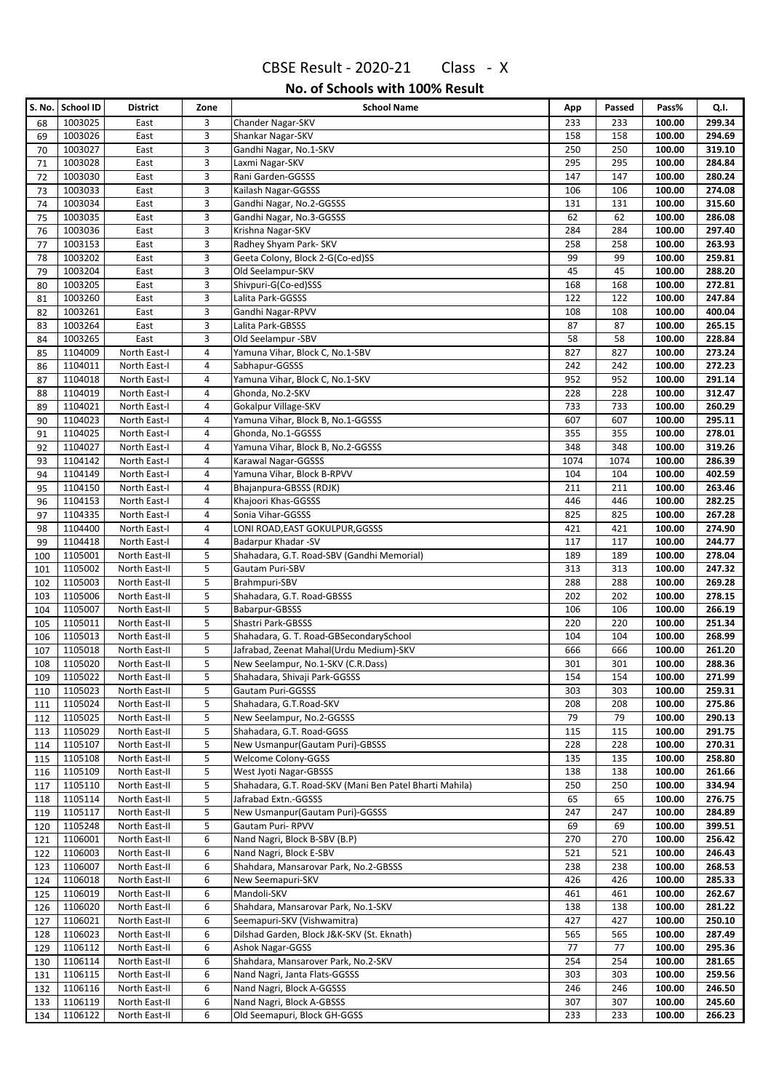|            | S. No. School ID   | <b>District</b>                | Zone   | <b>School Name</b>                                      | App       | Passed    | Pass%            | Q.I.             |
|------------|--------------------|--------------------------------|--------|---------------------------------------------------------|-----------|-----------|------------------|------------------|
| 68         | 1003025            | East                           | 3      | Chander Nagar-SKV                                       | 233       | 233       | 100.00           | 299.34           |
| 69         | 1003026            | East                           | 3      | Shankar Nagar-SKV                                       | 158       | 158       | 100.00           | 294.69           |
| 70         | 1003027            | East                           | 3      | Gandhi Nagar, No.1-SKV                                  | 250       | 250       | 100.00           | 319.10           |
| 71         | 1003028            | East                           | 3      | Laxmi Nagar-SKV                                         | 295       | 295       | 100.00           | 284.84           |
| 72         | 1003030            | East                           | 3      | Rani Garden-GGSSS                                       | 147       | 147       | 100.00           | 280.24           |
| 73         | 1003033            | East                           | 3      | Kailash Nagar-GGSSS                                     | 106       | 106       | 100.00           | 274.08           |
| 74         | 1003034            | East                           | 3      | Gandhi Nagar, No.2-GGSSS                                | 131       | 131       | 100.00           | 315.60           |
| 75         | 1003035            | East                           | 3      | Gandhi Nagar, No.3-GGSSS                                | 62        | 62        | 100.00           | 286.08           |
| 76         | 1003036            | East                           | 3      | Krishna Nagar-SKV                                       | 284       | 284       | 100.00           | 297.40           |
| 77         | 1003153            | East                           | 3      | Radhey Shyam Park- SKV                                  | 258       | 258       | 100.00           | 263.93           |
| 78         | 1003202            | East                           | 3      | Geeta Colony, Block 2-G(Co-ed)SS                        | 99        | 99        | 100.00           | 259.81           |
| 79         | 1003204            | East                           | 3      | Old Seelampur-SKV                                       | 45        | 45        | 100.00           | 288.20           |
| 80         | 1003205            | East                           | 3      | Shivpuri-G(Co-ed)SSS                                    | 168       | 168       | 100.00           | 272.81           |
| 81         | 1003260            | East                           | 3      | Lalita Park-GGSSS                                       | 122       | 122       | 100.00           | 247.84           |
| 82         | 1003261            | East                           | 3<br>3 | Gandhi Nagar-RPVV                                       | 108<br>87 | 108<br>87 | 100.00           | 400.04<br>265.15 |
| 83         | 1003264<br>1003265 | East                           | 3      | Lalita Park-GBSSS<br>Old Seelampur -SBV                 | 58        | 58        | 100.00<br>100.00 | 228.84           |
| 84<br>85   | 1104009            | East<br>North East-I           | 4      | Yamuna Vihar, Block C, No.1-SBV                         | 827       | 827       | 100.00           | 273.24           |
| 86         | 1104011            | North East-I                   | 4      | Sabhapur-GGSSS                                          | 242       | 242       | 100.00           | 272.23           |
| 87         | 1104018            | North East-I                   | 4      | Yamuna Vihar, Block C, No.1-SKV                         | 952       | 952       | 100.00           | 291.14           |
| 88         | 1104019            | North East-I                   | 4      | Ghonda, No.2-SKV                                        | 228       | 228       | 100.00           | 312.47           |
| 89         | 1104021            | North East-I                   | 4      | Gokalpur Village-SKV                                    | 733       | 733       | 100.00           | 260.29           |
| 90         | 1104023            | North East-I                   | 4      | Yamuna Vihar, Block B, No.1-GGSSS                       | 607       | 607       | 100.00           | 295.11           |
| 91         | 1104025            | North East-I                   | 4      | Ghonda, No.1-GGSSS                                      | 355       | 355       | 100.00           | 278.01           |
| 92         | 1104027            | North East-I                   | 4      | Yamuna Vihar, Block B, No.2-GGSSS                       | 348       | 348       | 100.00           | 319.26           |
| 93         | 1104142            | North East-I                   | 4      | Karawal Nagar-GGSSS                                     | 1074      | 1074      | 100.00           | 286.39           |
| 94         | 1104149            | North East-I                   | 4      | Yamuna Vihar, Block B-RPVV                              | 104       | 104       | 100.00           | 402.59           |
| 95         | 1104150            | North East-I                   | 4      | Bhajanpura-GBSSS (RDJK)                                 | 211       | 211       | 100.00           | 263.46           |
| 96         | 1104153            | North East-I                   | 4      | Khajoori Khas-GGSSS                                     | 446       | 446       | 100.00           | 282.25           |
| 97         | 1104335            | North East-I                   | 4      | Sonia Vihar-GGSSS                                       | 825       | 825       | 100.00           | 267.28           |
| 98         | 1104400            | North East-I                   | 4      | LONI ROAD, EAST GOKULPUR, GGSSS                         | 421       | 421       | 100.00           | 274.90           |
| 99         | 1104418            | North East-I                   | 4      | Badarpur Khadar -SV                                     | 117       | 117       | 100.00           | 244.77           |
| 100        | 1105001            | North East-II                  | 5      | Shahadara, G.T. Road-SBV (Gandhi Memorial)              | 189       | 189       | 100.00           | 278.04           |
| 101        | 1105002            | North East-II                  | 5      | Gautam Puri-SBV                                         | 313       | 313       | 100.00           | 247.32           |
| 102        | 1105003            | North East-II                  | 5      | Brahmpuri-SBV                                           | 288       | 288       | 100.00           | 269.28           |
| 103        | 1105006            | North East-II                  | 5      | Shahadara, G.T. Road-GBSSS                              | 202       | 202       | 100.00           | 278.15           |
| 104        | 1105007            | North East-II                  | 5      | Babarpur-GBSSS                                          | 106       | 106       | 100.00           | 266.19           |
| 105        | 1105011            | North East-II                  | 5      | Shastri Park-GBSSS                                      | 220       | 220       | 100.00           | 251.34           |
| 106        | 1105013            | North East-II                  | 5      | Shahadara, G. T. Road-GBSecondarySchool                 | 104       | 104       | 100.00           | 268.99           |
| 107        | 1105018            | North East-II                  | 5      | Jafrabad, Zeenat Mahal(Urdu Medium)-SKV                 | 666       | 666       | 100.00           | 261.20           |
| 108        | 1105020            | North East-II                  | 5      | New Seelampur, No.1-SKV (C.R.Dass)                      | 301       | 301       | 100.00           | 288.36           |
| 109        | 1105022            | North East-II                  | 5      | Shahadara, Shivaji Park-GGSSS                           | 154       | 154       | 100.00           | 271.99           |
| 110        | 1105023            | North East-II                  | 5      | <b>Gautam Puri-GGSSS</b>                                | 303       | 303       | 100.00           | 259.31           |
| 111        | 1105024<br>1105025 | North East-II                  | 5<br>5 | Shahadara, G.T.Road-SKV                                 | 208<br>79 | 208       | 100.00           | 275.86           |
| 112        | 1105029            | North East-II<br>North East-II | 5      | New Seelampur, No.2-GGSSS<br>Shahadara, G.T. Road-GGSS  | 115       | 79<br>115 | 100.00<br>100.00 | 290.13<br>291.75 |
| 113<br>114 | 1105107            | North East-II                  | 5      | New Usmanpur (Gautam Puri)-GBSSS                        | 228       | 228       | 100.00           | 270.31           |
| 115        | 1105108            | North East-II                  | 5      | Welcome Colony-GGSS                                     | 135       | 135       | 100.00           | 258.80           |
| 116        | 1105109            | North East-II                  | 5      | West Jyoti Nagar-GBSSS                                  | 138       | 138       | 100.00           | 261.66           |
| 117        | 1105110            | North East-II                  | 5      | Shahadara, G.T. Road-SKV (Mani Ben Patel Bharti Mahila) | 250       | 250       | 100.00           | 334.94           |
| 118        | 1105114            | North East-II                  | 5      | Jafrabad Extn.-GGSSS                                    | 65        | 65        | 100.00           | 276.75           |
| 119        | 1105117            | North East-II                  | 5      | New Usmanpur (Gautam Puri)-GGSSS                        | 247       | 247       | 100.00           | 284.89           |
| 120        | 1105248            | North East-II                  | 5      | Gautam Puri-RPVV                                        | 69        | 69        | 100.00           | 399.51           |
| 121        | 1106001            | North East-II                  | 6      | Nand Nagri, Block B-SBV (B.P)                           | 270       | 270       | 100.00           | 256.42           |
| 122        | 1106003            | North East-II                  | 6      | Nand Nagri, Block E-SBV                                 | 521       | 521       | 100.00           | 246.43           |
| 123        | 1106007            | North East-II                  | 6      | Shahdara, Mansarovar Park, No.2-GBSSS                   | 238       | 238       | 100.00           | 268.53           |
| 124        | 1106018            | North East-II                  | 6      | New Seemapuri-SKV                                       | 426       | 426       | 100.00           | 285.33           |
| 125        | 1106019            | North East-II                  | 6      | Mandoli-SKV                                             | 461       | 461       | 100.00           | 262.67           |
| 126        | 1106020            | North East-II                  | 6      | Shahdara, Mansarovar Park, No.1-SKV                     | 138       | 138       | 100.00           | 281.22           |
| 127        | 1106021            | North East-II                  | 6      | Seemapuri-SKV (Vishwamitra)                             | 427       | 427       | 100.00           | 250.10           |
| 128        | 1106023            | North East-II                  | 6      | Dilshad Garden, Block J&K-SKV (St. Eknath)              | 565       | 565       | 100.00           | 287.49           |
| 129        | 1106112            | North East-II                  | 6      | <b>Ashok Nagar-GGSS</b>                                 | 77        | 77        | 100.00           | 295.36           |
| 130        | 1106114            | North East-II                  | 6      | Shahdara, Mansarover Park, No.2-SKV                     | 254       | 254       | 100.00           | 281.65           |
| 131        | 1106115            | North East-II                  | 6      | Nand Nagri, Janta Flats-GGSSS                           | 303       | 303       | 100.00           | 259.56           |
| 132        | 1106116            | North East-II                  | 6      | Nand Nagri, Block A-GGSSS                               | 246       | 246       | 100.00           | 246.50           |
| 133        | 1106119            | North East-II                  | 6      | Nand Nagri, Block A-GBSSS                               | 307       | 307       | 100.00           | 245.60           |
| 134        | 1106122            | North East-II                  | 6      | Old Seemapuri, Block GH-GGSS                            | 233       | 233       | 100.00           | 266.23           |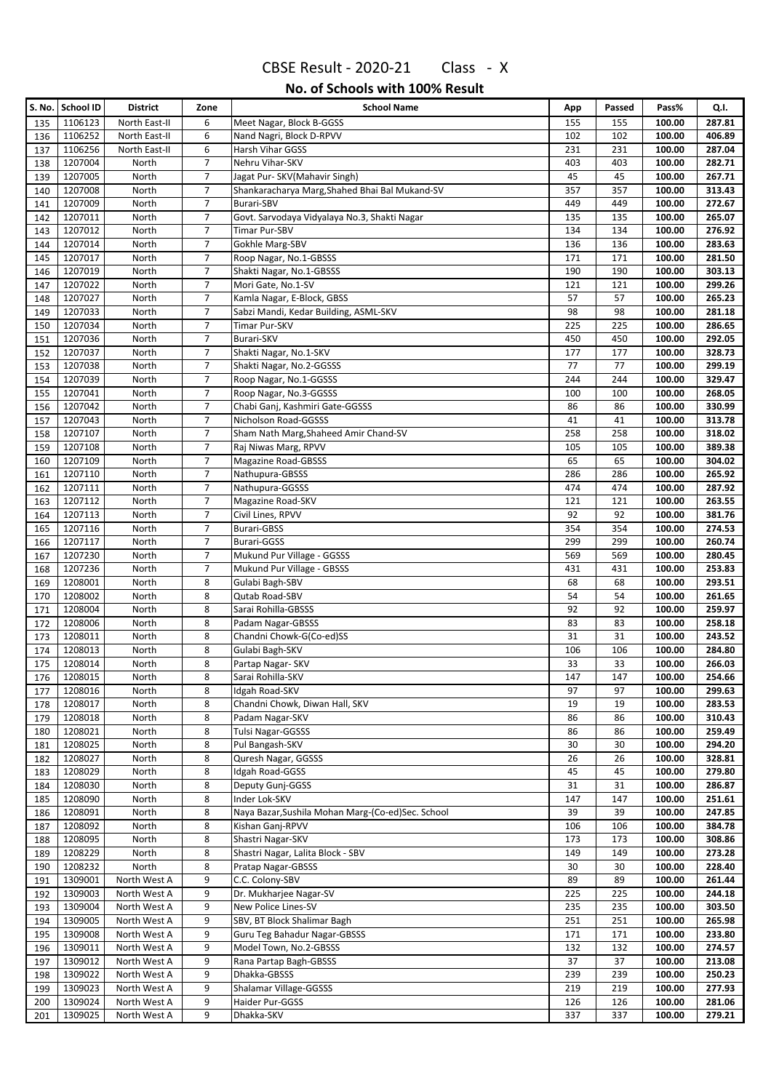|            | S. No.   School ID | <b>District</b> | Zone                | <b>School Name</b>                                                     | App        | Passed     | Pass%            | Q.I.             |
|------------|--------------------|-----------------|---------------------|------------------------------------------------------------------------|------------|------------|------------------|------------------|
| 135        | 1106123            | North East-II   | 6                   | Meet Nagar, Block B-GGSS                                               | 155        | 155        | 100.00           | 287.81           |
| 136        | 1106252            | North East-II   | 6                   | Nand Nagri, Block D-RPVV                                               | 102        | 102        | 100.00           | 406.89           |
| 137        | 1106256            | North East-II   | 6                   | Harsh Vihar GGSS                                                       | 231        | 231        | 100.00           | 287.04           |
| 138        | 1207004            | North           | 7                   | Nehru Vihar-SKV                                                        | 403        | 403        | 100.00           | 282.71           |
| 139        | 1207005            | North           | $\overline{7}$      | Jagat Pur- SKV(Mahavir Singh)                                          | 45         | 45         | 100.00           | 267.71           |
| 140        | 1207008            | North           | $\overline{7}$      | Shankaracharya Marg, Shahed Bhai Bal Mukand-SV                         | 357        | 357        | 100.00           | 313.43           |
| 141        | 1207009            | North           | $\overline{7}$      | <b>Burari-SBV</b>                                                      | 449        | 449        | 100.00           | 272.67           |
| 142        | 1207011            | North           | 7                   | Govt. Sarvodaya Vidyalaya No.3, Shakti Nagar                           | 135        | 135        | 100.00           | 265.07           |
| 143        | 1207012            | North           | 7                   | <b>Timar Pur-SBV</b>                                                   | 134        | 134        | 100.00           | 276.92           |
| 144        | 1207014            | North           | $\overline{7}$      | Gokhle Marg-SBV                                                        | 136        | 136        | 100.00           | 283.63           |
| 145        | 1207017            | North           | 7                   | Roop Nagar, No.1-GBSSS                                                 | 171        | 171        | 100.00           | 281.50           |
| 146        | 1207019            | North           | 7                   | Shakti Nagar, No.1-GBSSS                                               | 190        | 190        | 100.00           | 303.13           |
| 147        | 1207022            | North           | 7                   | Mori Gate, No.1-SV                                                     | 121        | 121        | 100.00           | 299.26           |
| 148        | 1207027            | North           | $\overline{7}$      | Kamla Nagar, E-Block, GBSS                                             | 57         | 57         | 100.00           | 265.23           |
| 149        | 1207033            | North           | $\overline{7}$      | Sabzi Mandi, Kedar Building, ASML-SKV                                  | 98         | 98         | 100.00           | 281.18           |
| 150        | 1207034            | North           | 7                   | Timar Pur-SKV                                                          | 225        | 225        | 100.00           | 286.65           |
| 151        | 1207036            | North           | $\overline{7}$      | <b>Burari-SKV</b>                                                      | 450        | 450        | 100.00           | 292.05           |
| 152        | 1207037            | North           | $\overline{7}$      | Shakti Nagar, No.1-SKV                                                 | 177        | 177        | 100.00           | 328.73           |
| 153        | 1207038            | North           | $\overline{7}$<br>7 | Shakti Nagar, No.2-GGSSS<br>Roop Nagar, No.1-GGSSS                     | 77         | 77         | 100.00           | 299.19           |
| 154        | 1207039<br>1207041 | North           | 7                   | Roop Nagar, No.3-GGSSS                                                 | 244<br>100 | 244<br>100 | 100.00<br>100.00 | 329.47<br>268.05 |
| 155        | 1207042            | North<br>North  | 7                   | Chabi Ganj, Kashmiri Gate-GGSSS                                        | 86         | 86         | 100.00           | 330.99           |
| 156<br>157 | 1207043            | North           | 7                   | Nicholson Road-GGSSS                                                   | 41         | 41         | 100.00           | 313.78           |
| 158        | 1207107            | North           | 7                   | Sham Nath Marg, Shaheed Amir Chand-SV                                  | 258        | 258        | 100.00           | 318.02           |
| 159        | 1207108            | North           | 7                   | Raj Niwas Marg, RPVV                                                   | 105        | 105        | 100.00           | 389.38           |
| 160        | 1207109            | North           | 7                   | <b>Magazine Road-GBSSS</b>                                             | 65         | 65         | 100.00           | 304.02           |
| 161        | 1207110            | North           | 7                   | Nathupura-GBSSS                                                        | 286        | 286        | 100.00           | 265.92           |
| 162        | 1207111            | North           | $\overline{7}$      | Nathupura-GGSSS                                                        | 474        | 474        | 100.00           | 287.92           |
| 163        | 1207112            | North           | $\overline{7}$      | Magazine Road-SKV                                                      | 121        | 121        | 100.00           | 263.55           |
| 164        | 1207113            | North           | $\overline{7}$      | Civil Lines, RPVV                                                      | 92         | 92         | 100.00           | 381.76           |
| 165        | 1207116            | North           | 7                   | <b>Burari-GBSS</b>                                                     | 354        | 354        | 100.00           | 274.53           |
| 166        | 1207117            | North           | $\overline{7}$      | <b>Burari-GGSS</b>                                                     | 299        | 299        | 100.00           | 260.74           |
| 167        | 1207230            | North           | $\overline{7}$      | Mukund Pur Village - GGSSS                                             | 569        | 569        | 100.00           | 280.45           |
| 168        | 1207236            | North           | 7                   | Mukund Pur Village - GBSSS                                             | 431        | 431        | 100.00           | 253.83           |
| 169        | 1208001            | North           | 8                   | Gulabi Bagh-SBV                                                        | 68         | 68         | 100.00           | 293.51           |
| 170        | 1208002            | North           | 8                   | Qutab Road-SBV                                                         | 54         | 54         | 100.00           | 261.65           |
| 171        | 1208004            | North           | 8                   | Sarai Rohilla-GBSSS                                                    | 92         | 92         | 100.00           | 259.97           |
| 172        | 1208006            | North           | 8                   | Padam Nagar-GBSSS                                                      | 83         | 83         | 100.00           | 258.18           |
| 173        | 1208011            | North           | 8                   | Chandni Chowk-G(Co-ed)SS                                               | 31         | 31         | 100.00           | 243.52           |
| 174        | 1208013            | North           | 8                   | Gulabi Bagh-SKV                                                        | 106        | 106        | 100.00           | 284.80           |
| 175        | 1208014            | North           | 8                   | Partap Nagar-SKV                                                       | 33         | 33         | 100.00           | 266.03           |
| 176        | 1208015            | North           | 8                   | Sarai Rohilla-SKV                                                      | 147        | 147        | 100.00           | 254.66           |
| 177        | 1208016            | North           | 8                   | Idgah Road-SKV                                                         | 97         | 97         | 100.00           | 299.63           |
| 178        | 1208017            | North           | 8                   | Chandni Chowk, Diwan Hall, SKV                                         | 19         | 19         | 100.00           | 283.53           |
| 179        | 1208018            | North           | 8                   | Padam Nagar-SKV                                                        | 86         | 86         | 100.00           | 310.43           |
| 180        | 1208021            | North           | 8                   | Tulsi Nagar-GGSSS                                                      | 86         | 86         | 100.00           | 259.49           |
| 181        | 1208025            | North           | 8                   | Pul Bangash-SKV                                                        | 30         | 30         | 100.00           | 294.20           |
| 182        | 1208027            | North           | 8                   | Quresh Nagar, GGSSS                                                    | 26         | 26         | 100.00           | 328.81           |
| 183        | 1208029            | North           | 8                   | Idgah Road-GGSS                                                        | 45         | 45         | 100.00           | 279.80           |
| 184        | 1208030            | North           | 8                   | Deputy Gunj-GGSS                                                       | 31         | 31         | 100.00           | 286.87           |
| 185        | 1208090<br>1208091 | North           | 8<br>8              | Inder Lok-SKV                                                          | 147        | 147        | 100.00           | 251.61<br>247.85 |
| 186        | 1208092            | North<br>North  | 8                   | Naya Bazar, Sushila Mohan Marg-(Co-ed) Sec. School<br>Kishan Ganj-RPVV | 39<br>106  | 39<br>106  | 100.00<br>100.00 | 384.78           |
| 187<br>188 | 1208095            | North           | 8                   | Shastri Nagar-SKV                                                      | 173        | 173        | 100.00           | 308.86           |
| 189        | 1208229            | North           | 8                   | Shastri Nagar, Lalita Block - SBV                                      | 149        | 149        | 100.00           | 273.28           |
| 190        | 1208232            | North           | 8                   | Pratap Nagar-GBSSS                                                     | 30         | 30         | 100.00           | 228.40           |
| 191        | 1309001            | North West A    | 9                   | C.C. Colony-SBV                                                        | 89         | 89         | 100.00           | 261.44           |
| 192        | 1309003            | North West A    | 9                   | Dr. Mukharjee Nagar-SV                                                 | 225        | 225        | 100.00           | 244.18           |
| 193        | 1309004            | North West A    | 9                   | New Police Lines-SV                                                    | 235        | 235        | 100.00           | 303.50           |
| 194        | 1309005            | North West A    | 9                   | SBV, BT Block Shalimar Bagh                                            | 251        | 251        | 100.00           | 265.98           |
| 195        | 1309008            | North West A    | 9                   | Guru Teg Bahadur Nagar-GBSSS                                           | 171        | 171        | 100.00           | 233.80           |
| 196        | 1309011            | North West A    | 9                   | Model Town, No.2-GBSSS                                                 | 132        | 132        | 100.00           | 274.57           |
| 197        | 1309012            | North West A    | 9                   | Rana Partap Bagh-GBSSS                                                 | 37         | 37         | 100.00           | 213.08           |
| 198        | 1309022            | North West A    | 9                   | Dhakka-GBSSS                                                           | 239        | 239        | 100.00           | 250.23           |
| 199        | 1309023            | North West A    | 9                   | Shalamar Village-GGSSS                                                 | 219        | 219        | 100.00           | 277.93           |
| 200        | 1309024            | North West A    | 9                   | Haider Pur-GGSS                                                        | 126        | 126        | 100.00           | 281.06           |
| 201        | 1309025            | North West A    | 9                   | Dhakka-SKV                                                             | 337        | 337        | 100.00           | 279.21           |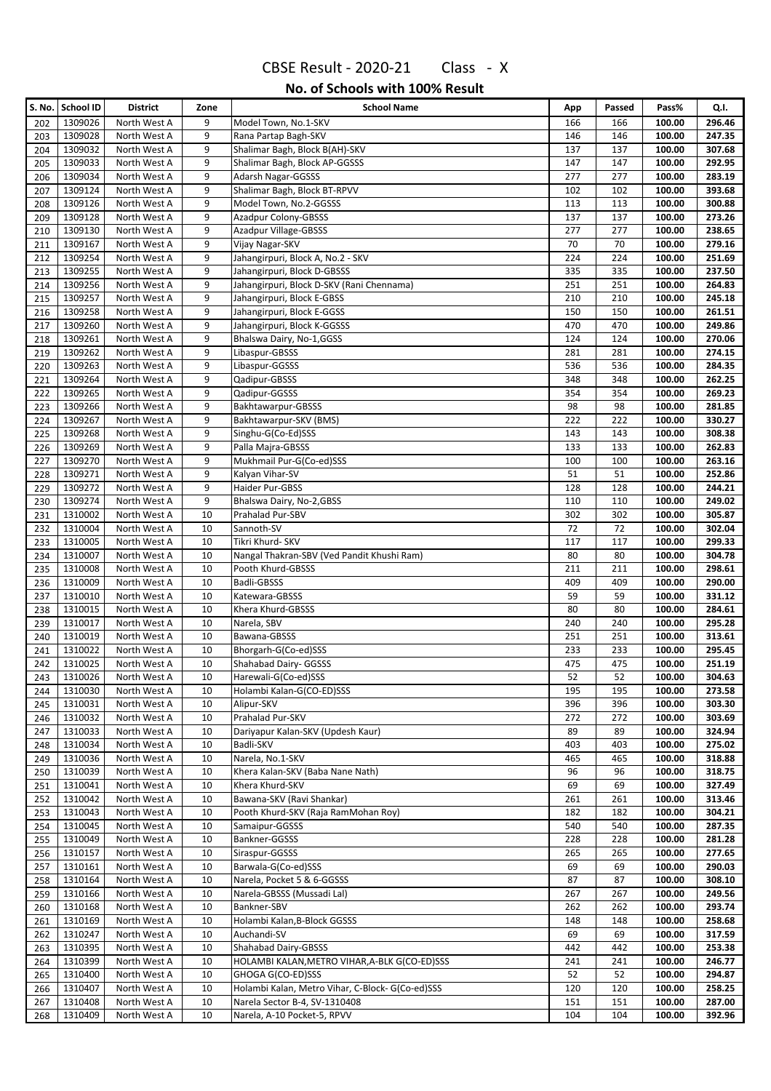|            | S. No. School ID   | District                     | Zone     | <b>School Name</b>                              | App        | Passed     | Pass%            | Q.I.             |
|------------|--------------------|------------------------------|----------|-------------------------------------------------|------------|------------|------------------|------------------|
| 202        | 1309026            | North West A                 | 9        | Model Town, No.1-SKV                            | 166        | 166        | 100.00           | 296.46           |
| 203        | 1309028            | North West A                 | 9        | Rana Partap Bagh-SKV                            | 146        | 146        | 100.00           | 247.35           |
| 204        | 1309032            | North West A                 | 9        | Shalimar Bagh, Block B(AH)-SKV                  | 137        | 137        | 100.00           | 307.68           |
| 205        | 1309033            | North West A                 | 9        | Shalimar Bagh, Block AP-GGSSS                   | 147        | 147        | 100.00           | 292.95           |
| 206        | 1309034            | North West A                 | 9        | Adarsh Nagar-GGSSS                              | 277        | 277        | 100.00           | 283.19           |
| 207        | 1309124            | North West A                 | 9        | Shalimar Bagh, Block BT-RPVV                    | 102        | 102        | 100.00           | 393.68           |
| 208        | 1309126            | North West A                 | 9        | Model Town, No.2-GGSSS                          | 113        | 113        | 100.00           | 300.88           |
| 209        | 1309128            | North West A                 | 9        | <b>Azadpur Colony-GBSSS</b>                     | 137        | 137        | 100.00           | 273.26           |
| 210        | 1309130            | North West A                 | 9        | <b>Azadpur Village-GBSSS</b>                    | 277        | 277        | 100.00           | 238.65           |
| 211        | 1309167            | North West A                 | 9        | Vijay Nagar-SKV                                 | 70         | 70         | 100.00           | 279.16           |
| 212        | 1309254            | North West A                 | 9        | Jahangirpuri, Block A, No.2 - SKV               | 224        | 224        | 100.00           | 251.69           |
| 213        | 1309255            | North West A                 | 9        | Jahangirpuri, Block D-GBSSS                     | 335        | 335        | 100.00           | 237.50           |
| 214        | 1309256            | North West A                 | 9        | Jahangirpuri, Block D-SKV (Rani Chennama)       | 251        | 251        | 100.00           | 264.83           |
| 215        | 1309257            | North West A                 | 9        | Jahangirpuri, Block E-GBSS                      | 210        | 210        | 100.00           | 245.18           |
| 216        | 1309258            | North West A                 | 9        | Jahangirpuri, Block E-GGSS                      | 150        | 150        | 100.00           | 261.51           |
| 217        | 1309260            | North West A                 | 9        | Jahangirpuri, Block K-GGSSS                     | 470        | 470        | 100.00           | 249.86           |
| 218        | 1309261<br>1309262 | North West A                 | 9<br>9   | Bhalswa Dairy, No-1,GGSS<br>Libaspur-GBSSS      | 124        | 124        | 100.00           | 270.06           |
| 219<br>220 | 1309263            | North West A<br>North West A | 9        | Libaspur-GGSSS                                  | 281<br>536 | 281<br>536 | 100.00<br>100.00 | 274.15<br>284.35 |
| 221        | 1309264            | North West A                 | 9        | Qadipur-GBSSS                                   | 348        | 348        | 100.00           | 262.25           |
| 222        | 1309265            | North West A                 | 9        | Qadipur-GGSSS                                   | 354        | 354        | 100.00           | 269.23           |
| 223        | 1309266            | North West A                 | 9        | Bakhtawarpur-GBSSS                              | 98         | 98         | 100.00           | 281.85           |
| 224        | 1309267            | North West A                 | 9        | Bakhtawarpur-SKV (BMS)                          | 222        | 222        | 100.00           | 330.27           |
| 225        | 1309268            | North West A                 | 9        | Singhu-G(Co-Ed)SSS                              | 143        | 143        | 100.00           | 308.38           |
| 226        | 1309269            | North West A                 | 9        | Palla Majra-GBSSS                               | 133        | 133        | 100.00           | 262.83           |
| 227        | 1309270            | North West A                 | 9        | Mukhmail Pur-G(Co-ed)SSS                        | 100        | 100        | 100.00           | 263.16           |
| 228        | 1309271            | North West A                 | 9        | Kalyan Vihar-SV                                 | 51         | 51         | 100.00           | 252.86           |
| 229        | 1309272            | North West A                 | 9        | Haider Pur-GBSS                                 | 128        | 128        | 100.00           | 244.21           |
| 230        | 1309274            | North West A                 | 9        | Bhalswa Dairy, No-2, GBSS                       | 110        | 110        | 100.00           | 249.02           |
| 231        | 1310002            | North West A                 | 10       | Prahalad Pur-SBV                                | 302        | 302        | 100.00           | 305.87           |
| 232        | 1310004            | North West A                 | 10       | Sannoth-SV                                      | 72         | 72         | 100.00           | 302.04           |
| 233        | 1310005            | North West A                 | 10       | Tikri Khurd- SKV                                | 117        | 117        | 100.00           | 299.33           |
| 234        | 1310007            | North West A                 | 10       | Nangal Thakran-SBV (Ved Pandit Khushi Ram)      | 80         | 80         | 100.00           | 304.78           |
| 235        | 1310008            | North West A                 | 10       | Pooth Khurd-GBSSS                               | 211        | 211        | 100.00           | 298.61           |
| 236        | 1310009            | North West A                 | 10       | Badli-GBSSS                                     | 409        | 409        | 100.00           | 290.00           |
| 237        | 1310010            | North West A                 | 10       | Katewara-GBSSS                                  | 59         | 59         | 100.00           | 331.12           |
| 238        | 1310015            | North West A                 | 10       | Khera Khurd-GBSSS                               | 80         | 80         | 100.00           | 284.61           |
| 239        | 1310017            | North West A                 | 10       | Narela, SBV                                     | 240        | 240        | 100.00           | 295.28           |
| 240        | 1310019            | North West A                 | 10       | Bawana-GBSSS                                    | 251        | 251        | 100.00           | 313.61           |
| 241        | 1310022            | North West A                 | 10       | Bhorgarh-G(Co-ed)SSS                            | 233        | 233        | 100.00           | 295.45           |
| 242        | 1310025            | North West A                 | 10       | Shahabad Dairy- GGSSS                           | 475        | 475        | 100.00           | 251.19           |
| 243        | 1310026            | North West A                 | 10       | Harewali-G(Co-ed)SSS                            | 52         | 52         | 100.00           | 304.63           |
| 244        | 1310030            | North West A                 | 10       | Holambi Kalan-G(CO-ED)SSS                       | 195        | 195        | 100.00           | 273.58           |
| 245        | 1310031            | North West A                 | 10       | Alipur-SKV                                      | 396        | 396        | 100.00           | 303.30           |
| 246        | 1310032            | North West A                 | 10       | Prahalad Pur-SKV                                | 272        | 272        | 100.00           | 303.69           |
| 247        | 1310033            | North West A                 | 10       | Dariyapur Kalan-SKV (Updesh Kaur)               | 89         | 89         | 100.00           | 324.94           |
| 248        | 1310034            | North West A                 | 10       | Badli-SKV                                       | 403        | 403        | 100.00           | 275.02           |
| 249        | 1310036            | North West A                 | 10       | Narela, No.1-SKV                                | 465        | 465        | 100.00           | 318.88           |
| 250        | 1310039            | North West A                 | 10       | Khera Kalan-SKV (Baba Nane Nath)                | 96         | 96         | 100.00           | 318.75           |
| 251        | 1310041<br>1310042 | North West A<br>North West A | 10<br>10 | Khera Khurd-SKV<br>Bawana-SKV (Ravi Shankar)    | 69<br>261  | 69<br>261  | 100.00<br>100.00 | 327.49<br>313.46 |
| 252<br>253 | 1310043            | North West A                 | 10       | Pooth Khurd-SKV (Raja RamMohan Roy)             | 182        | 182        | 100.00           | 304.21           |
| 254        | 1310045            | North West A                 | 10       | Samaipur-GGSSS                                  | 540        | 540        | 100.00           | 287.35           |
| 255        | 1310049            | North West A                 | 10       | Bankner-GGSSS                                   | 228        | 228        | 100.00           | 281.28           |
| 256        | 1310157            | North West A                 | 10       | Siraspur-GGSSS                                  | 265        | 265        | 100.00           | 277.65           |
| 257        | 1310161            | North West A                 | 10       | Barwala-G(Co-ed)SSS                             | 69         | 69         | 100.00           | 290.03           |
| 258        | 1310164            | North West A                 | 10       | Narela, Pocket 5 & 6-GGSSS                      | 87         | 87         | 100.00           | 308.10           |
| 259        | 1310166            | North West A                 | 10       | Narela-GBSSS (Mussadi Lal)                      | 267        | 267        | 100.00           | 249.56           |
| 260        | 1310168            | North West A                 | 10       | Bankner-SBV                                     | 262        | 262        | 100.00           | 293.74           |
| 261        | 1310169            | North West A                 | 10       | Holambi Kalan, B-Block GGSSS                    | 148        | 148        | 100.00           | 258.68           |
| 262        | 1310247            | North West A                 | 10       | Auchandi-SV                                     | 69         | 69         | 100.00           | 317.59           |
| 263        | 1310395            | North West A                 | 10       | Shahabad Dairy-GBSSS                            | 442        | 442        | 100.00           | 253.38           |
| 264        | 1310399            | North West A                 | 10       | HOLAMBI KALAN, METRO VIHAR, A-BLK G(CO-ED)SSS   | 241        | 241        | 100.00           | 246.77           |
| 265        | 1310400            | North West A                 | 10       | GHOGA G(CO-ED)SSS                               | 52         | 52         | 100.00           | 294.87           |
| 266        | 1310407            | North West A                 | 10       | Holambi Kalan, Metro Vihar, C-Block-G(Co-ed)SSS | 120        | 120        | 100.00           | 258.25           |
| 267        | 1310408            | North West A                 | 10       | Narela Sector B-4, SV-1310408                   | 151        | 151        | 100.00           | 287.00           |
| 268        | 1310409            | North West A                 | 10       | Narela, A-10 Pocket-5, RPVV                     | 104        | 104        | 100.00           | 392.96           |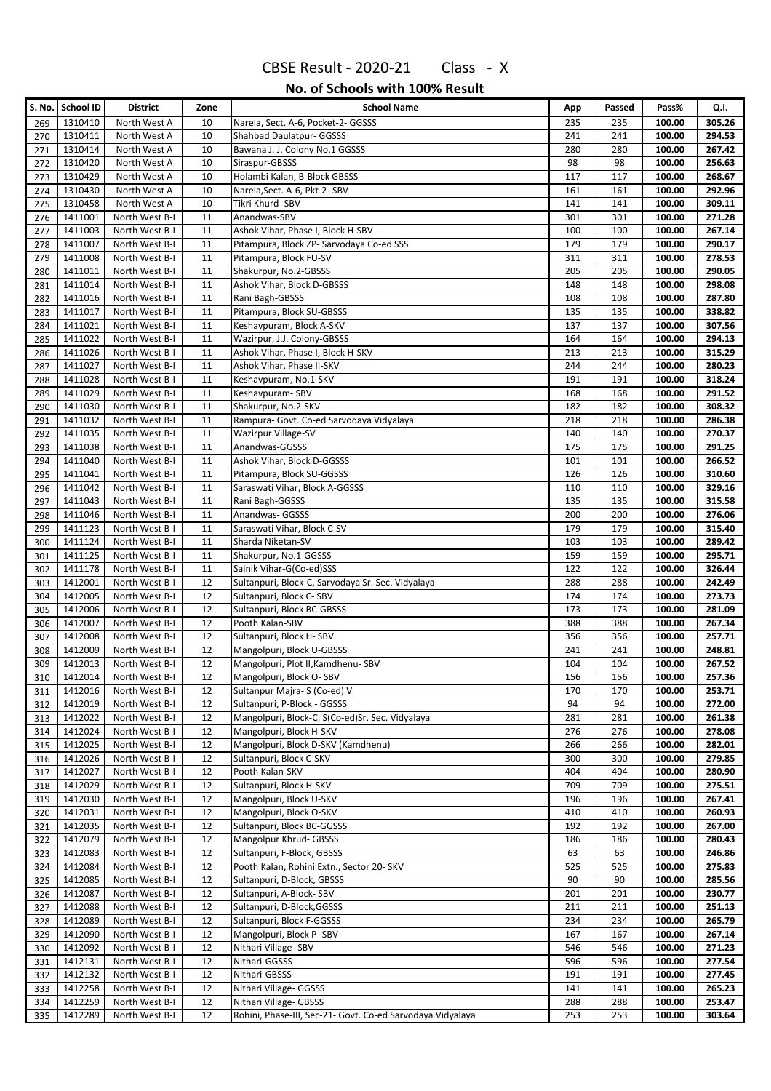|            | S. No.   School ID | <b>District</b>                  | Zone     | <b>School Name</b>                                         | App        | Passed     | Pass%            | Q.I.             |
|------------|--------------------|----------------------------------|----------|------------------------------------------------------------|------------|------------|------------------|------------------|
| 269        | 1310410            | North West A                     | 10       | Narela, Sect. A-6, Pocket-2- GGSSS                         | 235        | 235        | 100.00           | 305.26           |
| 270        | 1310411            | North West A                     | 10       | Shahbad Daulatpur- GGSSS                                   | 241        | 241        | 100.00           | 294.53           |
| 271        | 1310414            | North West A                     | 10       | Bawana J. J. Colony No.1 GGSSS                             | 280        | 280        | 100.00           | 267.42           |
| 272        | 1310420            | North West A                     | 10       | Siraspur-GBSSS                                             | 98         | 98         | 100.00           | 256.63           |
| 273        | 1310429            | North West A                     | 10       | Holambi Kalan, B-Block GBSSS                               | 117        | 117        | 100.00           | 268.67           |
| 274        | 1310430            | North West A                     | 10       | Narela, Sect. A-6, Pkt-2 - SBV                             | 161        | 161        | 100.00           | 292.96           |
| 275        | 1310458            | North West A                     | 10       | Tikri Khurd- SBV                                           | 141        | 141        | 100.00           | 309.11           |
| 276        | 1411001            | North West B-I                   | 11       | Anandwas-SBV                                               | 301        | 301        | 100.00           | 271.28           |
| 277        | 1411003            | North West B-I                   | 11       | Ashok Vihar, Phase I, Block H-SBV                          | 100        | 100        | 100.00           | 267.14           |
| 278        | 1411007            | North West B-I                   | 11       | Pitampura, Block ZP- Sarvodaya Co-ed SSS                   | 179        | 179        | 100.00           | 290.17           |
| 279        | 1411008            | North West B-I                   | 11       | Pitampura, Block FU-SV                                     | 311        | 311        | 100.00           | 278.53           |
| 280        | 1411011            | North West B-I                   | 11       | Shakurpur, No.2-GBSSS                                      | 205        | 205        | 100.00           | 290.05           |
| 281        | 1411014            | North West B-I                   | 11       | Ashok Vihar, Block D-GBSSS                                 | 148        | 148        | 100.00           | 298.08           |
| 282        | 1411016            | North West B-I                   | 11       | Rani Bagh-GBSSS                                            | 108        | 108        | 100.00           | 287.80           |
| 283        | 1411017            | North West B-I                   | 11       | Pitampura, Block SU-GBSSS                                  | 135        | 135        | 100.00           | 338.82           |
| 284        | 1411021            | North West B-I                   | 11       | Keshavpuram, Block A-SKV                                   | 137        | 137        | 100.00           | 307.56           |
| 285        | 1411022            | North West B-I                   | 11       | Wazirpur, J.J. Colony-GBSSS                                | 164        | 164        | 100.00           | 294.13           |
| 286        | 1411026            | North West B-I                   | 11       | Ashok Vihar, Phase I, Block H-SKV                          | 213        | 213        | 100.00           | 315.29           |
| 287        | 1411027            | North West B-I                   | 11       | Ashok Vihar, Phase II-SKV                                  | 244        | 244        | 100.00           | 280.23<br>318.24 |
| 288        | 1411028            | North West B-I                   | 11<br>11 | Keshavpuram, No.1-SKV<br>Keshavpuram-SBV                   | 191        | 191        | 100.00           |                  |
| 289        | 1411029            | North West B-I                   |          |                                                            | 168        | 168        | 100.00           | 291.52           |
| 290        | 1411030            | North West B-I                   | 11       | Shakurpur, No.2-SKV                                        | 182        | 182        | 100.00           | 308.32           |
| 291        | 1411032            | North West B-I                   | 11       | Rampura- Govt. Co-ed Sarvodaya Vidyalaya                   | 218        | 218        | 100.00           | 286.38           |
| 292        | 1411035<br>1411038 | North West B-I                   | 11<br>11 | Wazirpur Village-SV<br>Anandwas-GGSSS                      | 140<br>175 | 140        | 100.00           | 270.37           |
| 293        | 1411040            | North West B-I<br>North West B-I | 11       | Ashok Vihar, Block D-GGSSS                                 | 101        | 175<br>101 | 100.00<br>100.00 | 291.25<br>266.52 |
| 294        | 1411041            | North West B-I                   | 11       | Pitampura, Block SU-GGSSS                                  | 126        | 126        | 100.00           | 310.60           |
| 295        | 1411042            | North West B-I                   | 11       | Saraswati Vihar, Block A-GGSSS                             | 110        | 110        | 100.00           | 329.16           |
| 296<br>297 | 1411043            | North West B-I                   | 11       | Rani Bagh-GGSSS                                            | 135        | 135        | 100.00           | 315.58           |
| 298        | 1411046            | North West B-I                   | 11       | Anandwas- GGSSS                                            | 200        | 200        | 100.00           | 276.06           |
| 299        | 1411123            | North West B-I                   | 11       | Saraswati Vihar, Block C-SV                                | 179        | 179        | 100.00           | 315.40           |
| 300        | 1411124            | North West B-I                   | 11       | Sharda Niketan-SV                                          | 103        | 103        | 100.00           | 289.42           |
| 301        | 1411125            | North West B-I                   | 11       | Shakurpur, No.1-GGSSS                                      | 159        | 159        | 100.00           | 295.71           |
| 302        | 1411178            | North West B-I                   | 11       | Sainik Vihar-G(Co-ed)SSS                                   | 122        | 122        | 100.00           | 326.44           |
| 303        | 1412001            | North West B-I                   | 12       | Sultanpuri, Block-C, Sarvodaya Sr. Sec. Vidyalaya          | 288        | 288        | 100.00           | 242.49           |
| 304        | 1412005            | North West B-I                   | 12       | Sultanpuri, Block C-SBV                                    | 174        | 174        | 100.00           | 273.73           |
| 305        | 1412006            | North West B-I                   | 12       | Sultanpuri, Block BC-GBSSS                                 | 173        | 173        | 100.00           | 281.09           |
| 306        | 1412007            | North West B-I                   | 12       | Pooth Kalan-SBV                                            | 388        | 388        | 100.00           | 267.34           |
| 307        | 1412008            | North West B-I                   | 12       | Sultanpuri, Block H-SBV                                    | 356        | 356        | 100.00           | 257.71           |
| 308        | 1412009            | North West B-I                   | 12       | Mangolpuri, Block U-GBSSS                                  | 241        | 241        | 100.00           | 248.81           |
| 309        | 1412013            | North West B-I                   | 12       | Mangolpuri, Plot II, Kamdhenu-SBV                          | 104        | 104        | 100.00           | 267.52           |
| 310        | 1412014            | North West B-I                   | 12       | Mangolpuri, Block O-SBV                                    | 156        | 156        | 100.00           | 257.36           |
| 311        | 1412016            | North West B-I                   | 12       | Sultanpur Majra-S (Co-ed) V                                | 170        | 170        | 100.00           | 253.71           |
| 312        | 1412019            | North West B-I                   | 12       | Sultanpuri, P-Block - GGSSS                                | 94         | 94         | 100.00           | 272.00           |
| 313        | 1412022            | North West B-I                   | 12       | Mangolpuri, Block-C, S(Co-ed)Sr. Sec. Vidyalaya            | 281        | 281        | 100.00           | 261.38           |
| 314        | 1412024            | North West B-I                   | 12       | Mangolpuri, Block H-SKV                                    | 276        | 276        | 100.00           | 278.08           |
| 315        | 1412025            | North West B-I                   | 12       | Mangolpuri, Block D-SKV (Kamdhenu)                         | 266        | 266        | 100.00           | 282.01           |
| 316        | 1412026            | North West B-I                   | 12       | Sultanpuri, Block C-SKV                                    | 300        | 300        | 100.00           | 279.85           |
| 317        | 1412027            | North West B-I                   | 12       | Pooth Kalan-SKV                                            | 404        | 404        | 100.00           | 280.90           |
| 318        | 1412029            | North West B-I                   | 12       | Sultanpuri, Block H-SKV                                    | 709        | 709        | 100.00           | 275.51           |
| 319        | 1412030            | North West B-I                   | 12       | Mangolpuri, Block U-SKV                                    | 196        | 196        | 100.00           | 267.41           |
| 320        | 1412031            | North West B-I                   | 12       | Mangolpuri, Block O-SKV                                    | 410        | 410        | 100.00           | 260.93           |
| 321        | 1412035            | North West B-I                   | 12       | Sultanpuri, Block BC-GGSSS                                 | 192        | 192        | 100.00           | 267.00           |
| 322        | 1412079            | North West B-I                   | 12       | Mangolpur Khrud- GBSSS                                     | 186        | 186        | 100.00           | 280.43           |
| 323        | 1412083            | North West B-I                   | 12       | Sultanpuri, F-Block, GBSSS                                 | 63         | 63         | 100.00           | 246.86           |
| 324        | 1412084            | North West B-I                   | 12       | Pooth Kalan, Rohini Extn., Sector 20- SKV                  | 525        | 525        | 100.00           | 275.83           |
| 325        | 1412085            | North West B-I                   | 12       | Sultanpuri, D-Block, GBSSS                                 | 90         | 90         | 100.00           | 285.56           |
| 326        | 1412087            | North West B-I                   | 12       | Sultanpuri, A-Block-SBV                                    | 201        | 201        | 100.00           | 230.77           |
| 327        | 1412088            | North West B-I                   | 12       | Sultanpuri, D-Block, GGSSS                                 | 211        | 211        | 100.00           | 251.13           |
| 328        | 1412089            | North West B-I                   | 12       | Sultanpuri, Block F-GGSSS                                  | 234        | 234        | 100.00           | 265.79           |
| 329        | 1412090            | North West B-I                   | 12       | Mangolpuri, Block P-SBV                                    | 167        | 167        | 100.00           | 267.14           |
| 330        | 1412092            | North West B-I                   | 12       | Nithari Village-SBV                                        | 546        | 546        | 100.00           | 271.23           |
| 331        | 1412131            | North West B-I                   | 12       | Nithari-GGSSS                                              | 596        | 596        | 100.00           | 277.54           |
| 332        | 1412132            | North West B-I                   | 12       | Nithari-GBSSS                                              | 191        | 191        | 100.00           | 277.45           |
| 333        | 1412258            | North West B-I                   | 12       | Nithari Village- GGSSS                                     | 141        | 141        | 100.00           | 265.23           |
| 334        | 1412259            | North West B-I                   | 12       | Nithari Village- GBSSS                                     | 288        | 288        | 100.00           | 253.47           |
| 335        | 1412289            | North West B-I                   | 12       | Rohini, Phase-III, Sec-21- Govt. Co-ed Sarvodaya Vidyalaya | 253        | 253        | 100.00           | 303.64           |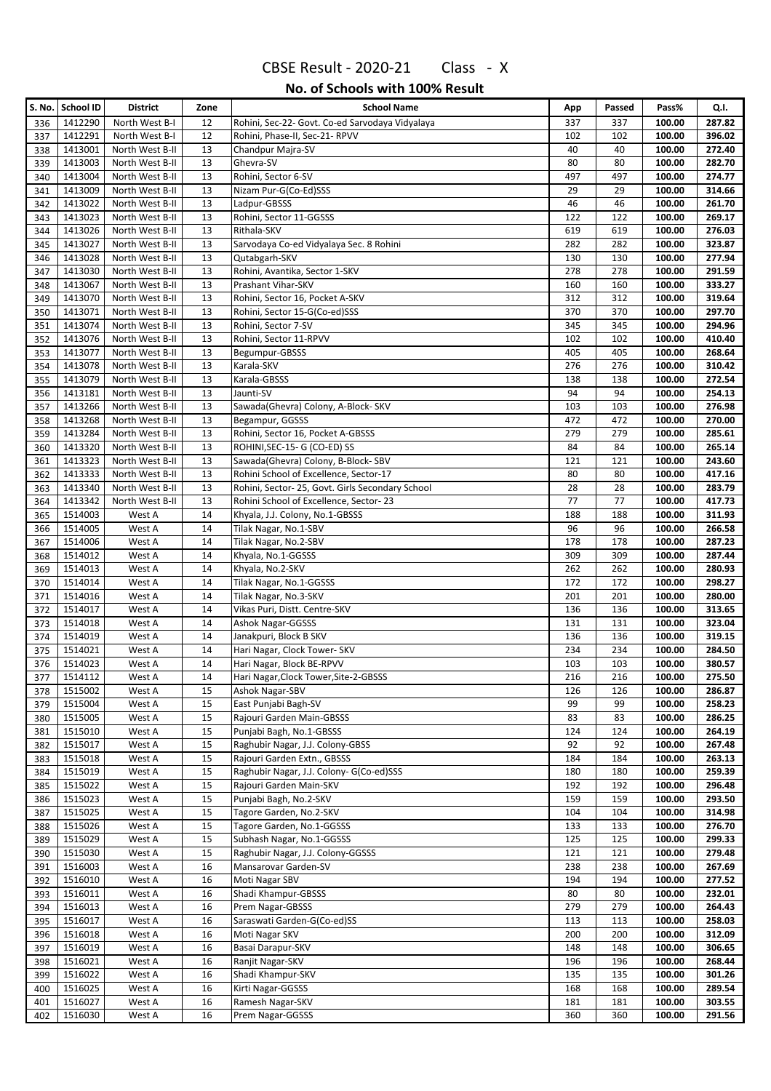|            | S. No. School ID   | <b>District</b>                    | Zone     | <b>School Name</b>                                   | App        | Passed     | Pass%            | Q.I.             |
|------------|--------------------|------------------------------------|----------|------------------------------------------------------|------------|------------|------------------|------------------|
| 336        | 1412290            | North West B-I                     | 12       | Rohini, Sec-22- Govt. Co-ed Sarvodaya Vidyalaya      | 337        | 337        | 100.00           | 287.82           |
| 337        | 1412291            | North West B-I                     | 12       | Rohini, Phase-II, Sec-21- RPVV                       | 102        | 102        | 100.00           | 396.02           |
| 338        | 1413001            | North West B-II                    | 13       | Chandpur Majra-SV                                    | 40         | 40         | 100.00           | 272.40           |
| 339        | 1413003            | North West B-II                    | 13       | Ghevra-SV                                            | 80         | 80         | 100.00           | 282.70           |
| 340        | 1413004            | North West B-II                    | 13       | Rohini, Sector 6-SV                                  | 497        | 497        | 100.00           | 274.77           |
| 341        | 1413009            | North West B-II                    | 13       | Nizam Pur-G(Co-Ed)SSS                                | 29         | 29         | 100.00           | 314.66           |
| 342        | 1413022            | North West B-II                    | 13       | Ladpur-GBSSS                                         | 46         | 46         | 100.00           | 261.70           |
| 343        | 1413023            | North West B-II                    | 13       | Rohini, Sector 11-GGSSS                              | 122        | 122        | 100.00           | 269.17           |
| 344        | 1413026            | North West B-II                    | 13       | Rithala-SKV                                          | 619        | 619        | 100.00           | 276.03           |
| 345        | 1413027            | North West B-II                    | 13       | Sarvodaya Co-ed Vidyalaya Sec. 8 Rohini              | 282        | 282        | 100.00           | 323.87           |
| 346        | 1413028            | North West B-II                    | 13       | Qutabgarh-SKV                                        | 130        | 130        | 100.00           | 277.94           |
| 347        | 1413030            | North West B-II                    | 13       | Rohini, Avantika, Sector 1-SKV                       | 278        | 278        | 100.00           | 291.59           |
| 348        | 1413067            | North West B-II                    | 13       | Prashant Vihar-SKV                                   | 160        | 160<br>312 | 100.00           | 333.27<br>319.64 |
| 349        | 1413070            | North West B-II                    | 13       | Rohini, Sector 16, Pocket A-SKV                      | 312        | 370        | 100.00<br>100.00 | 297.70           |
| 350        | 1413071<br>1413074 | North West B-II                    | 13<br>13 | Rohini, Sector 15-G(Co-ed)SSS<br>Rohini, Sector 7-SV | 370<br>345 | 345        | 100.00           | 294.96           |
| 351<br>352 | 1413076            | North West B-II<br>North West B-II | 13       | Rohini, Sector 11-RPVV                               | 102        | 102        | 100.00           | 410.40           |
| 353        | 1413077            | North West B-II                    | 13       | Begumpur-GBSSS                                       | 405        | 405        | 100.00           | 268.64           |
| 354        | 1413078            | North West B-II                    | 13       | Karala-SKV                                           | 276        | 276        | 100.00           | 310.42           |
| 355        | 1413079            | North West B-II                    | 13       | Karala-GBSSS                                         | 138        | 138        | 100.00           | 272.54           |
| 356        | 1413181            | North West B-II                    | 13       | Jaunti-SV                                            | 94         | 94         | 100.00           | 254.13           |
| 357        | 1413266            | North West B-II                    | 13       | Sawada(Ghevra) Colony, A-Block- SKV                  | 103        | 103        | 100.00           | 276.98           |
| 358        | 1413268            | North West B-II                    | 13       | Begampur, GGSSS                                      | 472        | 472        | 100.00           | 270.00           |
| 359        | 1413284            | North West B-II                    | 13       | Rohini, Sector 16, Pocket A-GBSSS                    | 279        | 279        | 100.00           | 285.61           |
| 360        | 1413320            | North West B-II                    | 13       | ROHINI, SEC-15- G (CO-ED) SS                         | 84         | 84         | 100.00           | 265.14           |
| 361        | 1413323            | North West B-II                    | 13       | Sawada(Ghevra) Colony, B-Block-SBV                   | 121        | 121        | 100.00           | 243.60           |
| 362        | 1413333            | North West B-II                    | 13       | Rohini School of Excellence, Sector-17               | 80         | 80         | 100.00           | 417.16           |
| 363        | 1413340            | North West B-II                    | 13       | Rohini, Sector-25, Govt. Girls Secondary School      | 28         | 28         | 100.00           | 283.79           |
| 364        | 1413342            | North West B-II                    | 13       | Rohini School of Excellence, Sector-23               | 77         | 77         | 100.00           | 417.73           |
| 365        | 1514003            | West A                             | 14       | Khyala, J.J. Colony, No.1-GBSSS                      | 188        | 188        | 100.00           | 311.93           |
| 366        | 1514005            | West A                             | 14       | Tilak Nagar, No.1-SBV                                | 96         | 96         | 100.00           | 266.58           |
| 367        | 1514006            | West A                             | 14       | Tilak Nagar, No.2-SBV                                | 178        | 178        | 100.00           | 287.23           |
| 368        | 1514012            | West A                             | 14       | Khyala, No.1-GGSSS                                   | 309        | 309        | 100.00           | 287.44           |
| 369        | 1514013            | West A                             | 14       | Khyala, No.2-SKV                                     | 262        | 262        | 100.00           | 280.93           |
| 370        | 1514014            | West A                             | 14       | Tilak Nagar, No.1-GGSSS                              | 172        | 172        | 100.00           | 298.27           |
| 371        | 1514016            | West A                             | 14       | Tilak Nagar, No.3-SKV                                | 201        | 201        | 100.00           | 280.00           |
| 372        | 1514017            | West A                             | 14       | Vikas Puri, Distt. Centre-SKV                        | 136        | 136        | 100.00           | 313.65           |
| 373        | 1514018            | West A                             | 14       | Ashok Nagar-GGSSS                                    | 131        | 131        | 100.00           | 323.04           |
| 374        | 1514019            | West A                             | 14       | Janakpuri, Block B SKV                               | 136        | 136        | 100.00           | 319.15           |
| 375        | 1514021            | West A                             | 14       | Hari Nagar, Clock Tower- SKV                         | 234        | 234        | 100.00           | 284.50           |
| 376        | 1514023            | West A                             | 14       | Hari Nagar, Block BE-RPVV                            | 103        | 103        | 100.00           | 380.57           |
| 377        | 1514112            | West A                             | 14       | Hari Nagar, Clock Tower, Site-2-GBSSS                | 216        | 216        | 100.00           | 275.50           |
| 378        | 1515002            | West A                             | 15       | Ashok Nagar-SBV                                      | 126        | 126        | 100.00           | 286.87           |
| 379        | 1515004<br>1515005 | West A<br>West A                   | 15<br>15 | East Punjabi Bagh-SV<br>Rajouri Garden Main-GBSSS    | 99<br>83   | 99<br>83   | 100.00<br>100.00 | 258.23<br>286.25 |
| 380        | 1515010            | West A                             | 15       | Punjabi Bagh, No.1-GBSSS                             | 124        | 124        | 100.00           | 264.19           |
| 381<br>382 | 1515017            | West A                             | 15       | Raghubir Nagar, J.J. Colony-GBSS                     | 92         | 92         | 100.00           | 267.48           |
| 383        | 1515018            | West A                             | 15       | Rajouri Garden Extn., GBSSS                          | 184        | 184        | 100.00           | 263.13           |
| 384        | 1515019            | West A                             | 15       | Raghubir Nagar, J.J. Colony- G(Co-ed)SSS             | 180        | 180        | 100.00           | 259.39           |
| 385        | 1515022            | West A                             | 15       | Rajouri Garden Main-SKV                              | 192        | 192        | 100.00           | 296.48           |
| 386        | 1515023            | West A                             | 15       | Punjabi Bagh, No.2-SKV                               | 159        | 159        | 100.00           | 293.50           |
| 387        | 1515025            | West A                             | 15       | Tagore Garden, No.2-SKV                              | 104        | 104        | 100.00           | 314.98           |
| 388        | 1515026            | West A                             | 15       | Tagore Garden, No.1-GGSSS                            | 133        | 133        | 100.00           | 276.70           |
| 389        | 1515029            | West A                             | 15       | Subhash Nagar, No.1-GGSSS                            | 125        | 125        | 100.00           | 299.33           |
| 390        | 1515030            | West A                             | 15       | Raghubir Nagar, J.J. Colony-GGSSS                    | 121        | 121        | 100.00           | 279.48           |
| 391        | 1516003            | West A                             | 16       | Mansarovar Garden-SV                                 | 238        | 238        | 100.00           | 267.69           |
| 392        | 1516010            | West A                             | 16       | Moti Nagar SBV                                       | 194        | 194        | 100.00           | 277.52           |
| 393        | 1516011            | West A                             | 16       | Shadi Khampur-GBSSS                                  | 80         | 80         | 100.00           | 232.01           |
| 394        | 1516013            | West A                             | 16       | Prem Nagar-GBSSS                                     | 279        | 279        | 100.00           | 264.43           |
| 395        | 1516017            | West A                             | 16       | Saraswati Garden-G(Co-ed)SS                          | 113        | 113        | 100.00           | 258.03           |
| 396        | 1516018            | West A                             | 16       | Moti Nagar SKV                                       | 200        | 200        | 100.00           | 312.09           |
| 397        | 1516019            | West A                             | 16       | Basai Darapur-SKV                                    | 148        | 148        | 100.00           | 306.65           |
| 398        | 1516021            | West A                             | 16       | Ranjit Nagar-SKV                                     | 196        | 196        | 100.00           | 268.44           |
| 399        | 1516022            | West A                             | 16       | Shadi Khampur-SKV                                    | 135        | 135        | 100.00           | 301.26           |
| 400        | 1516025            | West A                             | 16       | Kirti Nagar-GGSSS                                    | 168        | 168        | 100.00           | 289.54           |
| 401        | 1516027            | West A                             | 16       | Ramesh Nagar-SKV                                     | 181        | 181        | 100.00           | 303.55           |
| 402        | 1516030            | West A                             | 16       | Prem Nagar-GGSSS                                     | 360        | 360        | 100.00           | 291.56           |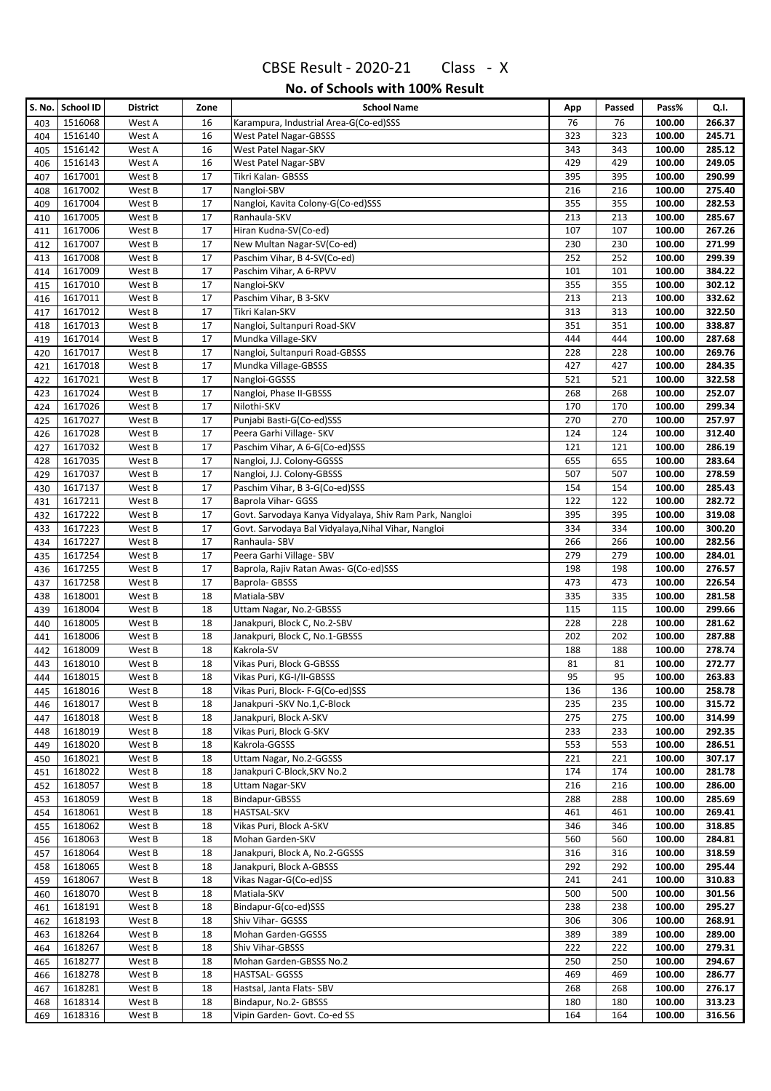|            | S. No. School ID   | <b>District</b>  | Zone     | <b>School Name</b>                                      | App        | Passed     | Pass%            | Q.I.             |
|------------|--------------------|------------------|----------|---------------------------------------------------------|------------|------------|------------------|------------------|
| 403        | 1516068            | West A           | 16       | Karampura, Industrial Area-G(Co-ed)SSS                  | 76         | 76         | 100.00           | 266.37           |
| 404        | 1516140            | West A           | 16       | <b>West Patel Nagar-GBSSS</b>                           | 323        | 323        | 100.00           | 245.71           |
| 405        | 1516142            | West A           | 16       | West Patel Nagar-SKV                                    | 343        | 343        | 100.00           | 285.12           |
| 406        | 1516143            | West A           | 16       | West Patel Nagar-SBV                                    | 429        | 429        | 100.00           | 249.05           |
| 407        | 1617001            | West B           | 17       | Tikri Kalan- GBSSS                                      | 395        | 395        | 100.00           | 290.99           |
| 408        | 1617002            | West B           | 17       | Nangloi-SBV                                             | 216        | 216        | 100.00           | 275.40           |
| 409        | 1617004            | West B           | 17       | Nangloi, Kavita Colony-G(Co-ed)SSS                      | 355        | 355        | 100.00           | 282.53           |
| 410        | 1617005            | West B           | 17       | Ranhaula-SKV                                            | 213        | 213        | 100.00           | 285.67           |
| 411        | 1617006            | West B           | 17       | Hiran Kudna-SV(Co-ed)                                   | 107        | 107        | 100.00           | 267.26           |
| 412        | 1617007            | West B           | 17       | New Multan Nagar-SV(Co-ed)                              | 230        | 230        | 100.00           | 271.99           |
| 413        | 1617008            | West B           | 17       | Paschim Vihar, B 4-SV(Co-ed)                            | 252        | 252        | 100.00           | 299.39<br>384.22 |
| 414        | 1617009<br>1617010 | West B<br>West B | 17<br>17 | Paschim Vihar, A 6-RPVV<br>Nangloi-SKV                  | 101<br>355 | 101<br>355 | 100.00<br>100.00 | 302.12           |
| 415<br>416 | 1617011            | West B           | 17       | Paschim Vihar, B 3-SKV                                  | 213        | 213        | 100.00           | 332.62           |
| 417        | 1617012            | West B           | 17       | Tikri Kalan-SKV                                         | 313        | 313        | 100.00           | 322.50           |
| 418        | 1617013            | West B           | 17       | Nangloi, Sultanpuri Road-SKV                            | 351        | 351        | 100.00           | 338.87           |
| 419        | 1617014            | West B           | 17       | Mundka Village-SKV                                      | 444        | 444        | 100.00           | 287.68           |
| 420        | 1617017            | West B           | 17       | Nangloi, Sultanpuri Road-GBSSS                          | 228        | 228        | 100.00           | 269.76           |
| 421        | 1617018            | West B           | 17       | Mundka Village-GBSSS                                    | 427        | 427        | 100.00           | 284.35           |
| 422        | 1617021            | West B           | 17       | Nangloi-GGSSS                                           | 521        | 521        | 100.00           | 322.58           |
| 423        | 1617024            | West B           | 17       | Nangloi, Phase II-GBSSS                                 | 268        | 268        | 100.00           | 252.07           |
| 424        | 1617026            | West B           | 17       | Nilothi-SKV                                             | 170        | 170        | 100.00           | 299.34           |
| 425        | 1617027            | West B           | 17       | Punjabi Basti-G(Co-ed)SSS                               | 270        | 270        | 100.00           | 257.97           |
| 426        | 1617028            | West B           | 17       | Peera Garhi Village- SKV                                | 124        | 124        | 100.00           | 312.40           |
| 427        | 1617032            | West B           | 17       | Paschim Vihar, A 6-G(Co-ed)SSS                          | 121        | 121        | 100.00           | 286.19           |
| 428        | 1617035            | West B           | 17       | Nangloi, J.J. Colony-GGSSS                              | 655        | 655        | 100.00           | 283.64           |
| 429        | 1617037            | West B           | 17       | Nangloi, J.J. Colony-GBSSS                              | 507        | 507        | 100.00           | 278.59           |
| 430        | 1617137            | West B           | 17       | Paschim Vihar, B 3-G(Co-ed)SSS                          | 154        | 154        | 100.00           | 285.43           |
| 431        | 1617211            | West B           | 17       | Baprola Vihar- GGSS                                     | 122        | 122        | 100.00           | 282.72           |
| 432        | 1617222            | West B           | 17       | Govt. Sarvodaya Kanya Vidyalaya, Shiv Ram Park, Nangloi | 395        | 395        | 100.00           | 319.08           |
| 433        | 1617223            | West B           | 17       | Govt. Sarvodaya Bal Vidyalaya, Nihal Vihar, Nangloi     | 334        | 334        | 100.00           | 300.20           |
| 434        | 1617227<br>1617254 | West B<br>West B | 17<br>17 | Ranhaula- SBV<br>Peera Garhi Village- SBV               | 266<br>279 | 266<br>279 | 100.00<br>100.00 | 282.56<br>284.01 |
| 435<br>436 | 1617255            | West B           | 17       | Baprola, Rajiv Ratan Awas- G(Co-ed)SSS                  | 198        | 198        | 100.00           | 276.57           |
| 437        | 1617258            | West B           | 17       | Baprola- GBSSS                                          | 473        | 473        | 100.00           | 226.54           |
| 438        | 1618001            | West B           | 18       | Matiala-SBV                                             | 335        | 335        | 100.00           | 281.58           |
| 439        | 1618004            | West B           | 18       | Uttam Nagar, No.2-GBSSS                                 | 115        | 115        | 100.00           | 299.66           |
| 440        | 1618005            | West B           | 18       | Janakpuri, Block C, No.2-SBV                            | 228        | 228        | 100.00           | 281.62           |
| 441        | 1618006            | West B           | 18       | Janakpuri, Block C, No.1-GBSSS                          | 202        | 202        | 100.00           | 287.88           |
| 442        | 1618009            | West B           | 18       | Kakrola-SV                                              | 188        | 188        | 100.00           | 278.74           |
| 443        | 1618010            | West B           | 18       | Vikas Puri, Block G-GBSSS                               | 81         | 81         | 100.00           | 272.77           |
| 444        | 1618015            | West B           | 18       | Vikas Puri, KG-I/II-GBSSS                               | 95         | 95         | 100.00           | 263.83           |
| 445        | 1618016            | West B           | 18       | Vikas Puri, Block-F-G(Co-ed)SSS                         | 136        | 136        | 100.00           | 258.78           |
| 446        | 1618017            | West B           | 18       | Janakpuri - SKV No.1, C-Block                           | 235        | 235        | 100.00           | 315.72           |
| 447        | 1618018            | West B           | 18       | Janakpuri, Block A-SKV                                  | 275        | 275        | 100.00           | 314.99           |
| 448        | 1618019            | West B           | 18       | Vikas Puri, Block G-SKV                                 | 233        | 233        | 100.00           | 292.35           |
| 449        | 1618020            | West B           | 18       | Kakrola-GGSSS                                           | 553        | 553        | 100.00           | 286.51           |
| 450        | 1618021<br>1618022 | West B<br>West B | 18<br>18 | Uttam Nagar, No.2-GGSSS<br>Janakpuri C-Block, SKV No.2  | 221<br>174 | 221<br>174 | 100.00<br>100.00 | 307.17<br>281.78 |
| 451<br>452 | 1618057            | West B           | 18       | <b>Uttam Nagar-SKV</b>                                  | 216        | 216        | 100.00           | 286.00           |
| 453        | 1618059            | West B           | 18       | Bindapur-GBSSS                                          | 288        | 288        | 100.00           | 285.69           |
| 454        | 1618061            | West B           | 18       | HASTSAL-SKV                                             | 461        | 461        | 100.00           | 269.41           |
| 455        | 1618062            | West B           | 18       | Vikas Puri, Block A-SKV                                 | 346        | 346        | 100.00           | 318.85           |
| 456        | 1618063            | West B           | 18       | Mohan Garden-SKV                                        | 560        | 560        | 100.00           | 284.81           |
| 457        | 1618064            | West B           | 18       | Janakpuri, Block A, No.2-GGSSS                          | 316        | 316        | 100.00           | 318.59           |
| 458        | 1618065            | West B           | 18       | Janakpuri, Block A-GBSSS                                | 292        | 292        | 100.00           | 295.44           |
| 459        | 1618067            | West B           | 18       | Vikas Nagar-G(Co-ed)SS                                  | 241        | 241        | 100.00           | 310.83           |
| 460        | 1618070            | West B           | 18       | Matiala-SKV                                             | 500        | 500        | 100.00           | 301.56           |
| 461        | 1618191            | West B           | 18       | Bindapur-G(co-ed)SSS                                    | 238        | 238        | 100.00           | 295.27           |
| 462        | 1618193            | West B           | 18       | Shiv Vihar- GGSSS                                       | 306        | 306        | 100.00           | 268.91           |
| 463        | 1618264            | West B           | 18       | Mohan Garden-GGSSS                                      | 389        | 389        | 100.00           | 289.00           |
| 464        | 1618267            | West B           | 18       | Shiv Vihar-GBSSS                                        | 222        | 222        | 100.00           | 279.31           |
| 465        | 1618277            | West B           | 18       | Mohan Garden-GBSSS No.2                                 | 250        | 250        | 100.00           | 294.67           |
| 466        | 1618278            | West B           | 18       | HASTSAL- GGSSS                                          | 469        | 469        | 100.00           | 286.77           |
| 467        | 1618281<br>1618314 | West B<br>West B | 18<br>18 | Hastsal, Janta Flats- SBV<br>Bindapur, No.2- GBSSS      | 268<br>180 | 268<br>180 | 100.00<br>100.00 | 276.17<br>313.23 |
| 468<br>469 | 1618316            | West B           | 18       | Vipin Garden- Govt. Co-ed SS                            | 164        | 164        | 100.00           | 316.56           |
|            |                    |                  |          |                                                         |            |            |                  |                  |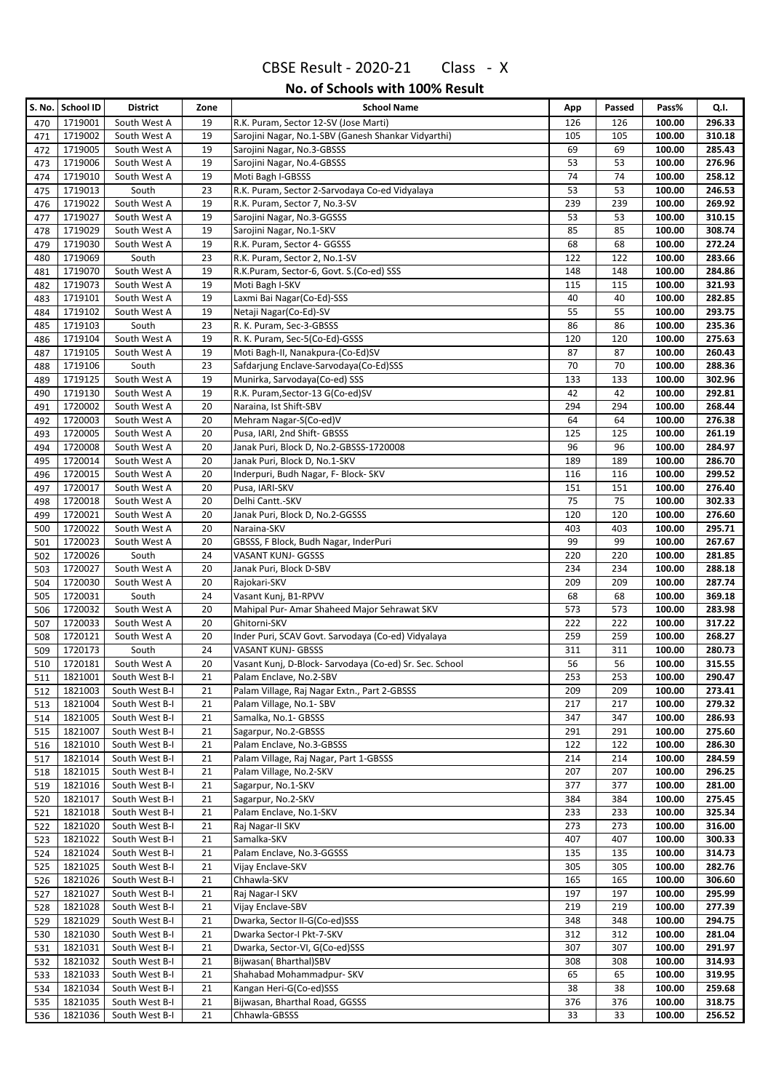|            | S. No.   School ID | District              | Zone     | <b>School Name</b>                                          | App       | Passed    | Pass%            | Q.I.             |
|------------|--------------------|-----------------------|----------|-------------------------------------------------------------|-----------|-----------|------------------|------------------|
| 470        | 1719001            | South West A          | 19       | R.K. Puram, Sector 12-SV (Jose Marti)                       | 126       | 126       | 100.00           | 296.33           |
| 471        | 1719002            | South West A          | 19       | Sarojini Nagar, No.1-SBV (Ganesh Shankar Vidyarthi)         | 105       | 105       | 100.00           | 310.18           |
| 472        | 1719005            | South West A          | 19       | Sarojini Nagar, No.3-GBSSS                                  | 69        | 69        | 100.00           | 285.43           |
| 473        | 1719006            | South West A          | 19       | Sarojini Nagar, No.4-GBSSS                                  | 53        | 53        | 100.00           | 276.96           |
| 474        | 1719010            | South West A          | 19       | Moti Bagh I-GBSSS                                           | 74        | 74        | 100.00           | 258.12           |
| 475        | 1719013            | South                 | 23       | R.K. Puram, Sector 2-Sarvodaya Co-ed Vidyalaya              | 53        | 53        | 100.00           | 246.53           |
| 476        | 1719022            | South West A          | 19       | R.K. Puram, Sector 7, No.3-SV                               | 239       | 239       | 100.00           | 269.92           |
| 477        | 1719027            | South West A          | 19       | Sarojini Nagar, No.3-GGSSS                                  | 53        | 53        | 100.00           | 310.15           |
| 478        | 1719029            | South West A          | 19       | Sarojini Nagar, No.1-SKV                                    | 85        | 85        | 100.00           | 308.74           |
| 479        | 1719030            | South West A          | 19       | R.K. Puram, Sector 4- GGSSS                                 | 68        | 68        | 100.00           | 272.24           |
| 480        | 1719069            | South                 | 23       | R.K. Puram, Sector 2, No.1-SV                               | 122       | 122       | 100.00           | 283.66           |
| 481        | 1719070            | South West A          | 19       | R.K.Puram, Sector-6, Govt. S.(Co-ed) SSS                    | 148       | 148       | 100.00           | 284.86           |
| 482        | 1719073            | South West A          | 19       | Moti Bagh I-SKV                                             | 115       | 115       | 100.00           | 321.93           |
| 483        | 1719101            | South West A          | 19       | Laxmi Bai Nagar(Co-Ed)-SSS                                  | 40        | 40        | 100.00           | 282.85           |
| 484        | 1719102            | South West A          | 19       | Netaji Nagar(Co-Ed)-SV                                      | 55        | 55        | 100.00           | 293.75           |
| 485        | 1719103            | South                 | 23       | R. K. Puram, Sec-3-GBSSS                                    | 86        | 86        | 100.00           | 235.36           |
| 486        | 1719104            | South West A          | 19       | R. K. Puram, Sec-5(Co-Ed)-GSSS                              | 120       | 120       | 100.00           | 275.63           |
| 487        | 1719105            | South West A          | 19       | Moti Bagh-II, Nanakpura-(Co-Ed)SV                           | 87        | 87        | 100.00           | 260.43           |
| 488        | 1719106            | South                 | 23       | Safdarjung Enclave-Sarvodaya(Co-Ed)SSS                      | 70        | 70        | 100.00           | 288.36           |
| 489        | 1719125            | South West A          | 19       | Munirka, Sarvodaya(Co-ed) SSS                               | 133       | 133       | 100.00           | 302.96           |
| 490        | 1719130            | South West A          | 19       | R.K. Puram, Sector-13 G(Co-ed)SV                            | 42        | 42        | 100.00           | 292.81           |
| 491        | 1720002            | South West A          | 20       | Naraina, Ist Shift-SBV                                      | 294       | 294       | 100.00           | 268.44           |
| 492        | 1720003            | South West A          | 20       | Mehram Nagar-S(Co-ed)V                                      | 64        | 64        | 100.00           | 276.38           |
| 493        | 1720005            | South West A          | 20       | Pusa, IARI, 2nd Shift- GBSSS                                | 125       | 125       | 100.00           | 261.19           |
| 494        | 1720008            | South West A          | 20       | Janak Puri, Block D, No.2-GBSSS-1720008                     | 96        | 96        | 100.00           | 284.97           |
| 495        | 1720014            | South West A          | 20       | Janak Puri, Block D, No.1-SKV                               | 189       | 189       | 100.00           | 286.70           |
| 496        | 1720015            | South West A          | 20       | Inderpuri, Budh Nagar, F- Block- SKV                        | 116       | 116       | 100.00           | 299.52           |
| 497        | 1720017            | South West A          | 20       | Pusa, IARI-SKV                                              | 151       | 151       | 100.00           | 276.40           |
| 498        | 1720018            | South West A          | 20       | Delhi Cantt.-SKV                                            | 75        | 75        | 100.00           | 302.33           |
| 499        | 1720021            | South West A          | 20       | Janak Puri, Block D, No.2-GGSSS                             | 120       | 120       | 100.00           | 276.60           |
| 500        | 1720022            | South West A          | 20       | Naraina-SKV                                                 | 403       | 403       | 100.00           | 295.71           |
| 501        | 1720023<br>1720026 | South West A<br>South | 20<br>24 | GBSSS, F Block, Budh Nagar, InderPuri<br>VASANT KUNJ- GGSSS | 99<br>220 | 99<br>220 | 100.00<br>100.00 | 267.67<br>281.85 |
| 502        | 1720027            | South West A          | 20       | Janak Puri, Block D-SBV                                     | 234       | 234       | 100.00           | 288.18           |
| 503        | 1720030            | South West A          | 20       | Rajokari-SKV                                                | 209       | 209       | 100.00           | 287.74           |
| 504        | 1720031            | South                 | 24       | Vasant Kunj, B1-RPVV                                        | 68        | 68        | 100.00           | 369.18           |
| 505<br>506 | 1720032            | South West A          | 20       | Mahipal Pur- Amar Shaheed Major Sehrawat SKV                | 573       | 573       | 100.00           | 283.98           |
| 507        | 1720033            | South West A          | 20       | Ghitorni-SKV                                                | 222       | 222       | 100.00           | 317.22           |
| 508        | 1720121            | South West A          | 20       | Inder Puri, SCAV Govt. Sarvodaya (Co-ed) Vidyalaya          | 259       | 259       | 100.00           | 268.27           |
| 509        | 1720173            | South                 | 24       | VASANT KUNJ- GBSSS                                          | 311       | 311       | 100.00           | 280.73           |
| 510        | 1720181            | South West A          | 20       | Vasant Kunj, D-Block- Sarvodaya (Co-ed) Sr. Sec. School     | 56        | 56        | 100.00           | 315.55           |
| 511        | 1821001            | South West B-I        | 21       | Palam Enclave, No.2-SBV                                     | 253       | 253       | 100.00           | 290.47           |
| 512        | 1821003            | South West B-I        | 21       | Palam Village, Raj Nagar Extn., Part 2-GBSSS                | 209       | 209       | 100.00           | 273.41           |
| 513        | 1821004            | South West B-I        | 21       | Palam Village, No.1- SBV                                    | 217       | 217       | 100.00           | 279.32           |
| 514        | 1821005            | South West B-I        | 21       | Samalka, No.1- GBSSS                                        | 347       | 347       | 100.00           | 286.93           |
| 515        | 1821007            | South West B-I        | 21       | Sagarpur, No.2-GBSSS                                        | 291       | 291       | 100.00           | 275.60           |
| 516        | 1821010            | South West B-I        | 21       | Palam Enclave, No.3-GBSSS                                   | 122       | 122       | 100.00           | 286.30           |
| 517        | 1821014            | South West B-I        | 21       | Palam Village, Raj Nagar, Part 1-GBSSS                      | 214       | 214       | 100.00           | 284.59           |
| 518        | 1821015            | South West B-I        | 21       | Palam Village, No.2-SKV                                     | 207       | 207       | 100.00           | 296.25           |
| 519        | 1821016            | South West B-I        | 21       | Sagarpur, No.1-SKV                                          | 377       | 377       | 100.00           | 281.00           |
| 520        | 1821017            | South West B-I        | 21       | Sagarpur, No.2-SKV                                          | 384       | 384       | 100.00           | 275.45           |
| 521        | 1821018            | South West B-I        | 21       | Palam Enclave, No.1-SKV                                     | 233       | 233       | 100.00           | 325.34           |
| 522        | 1821020            | South West B-I        | 21       | Raj Nagar-II SKV                                            | 273       | 273       | 100.00           | 316.00           |
| 523        | 1821022            | South West B-I        | 21       | Samalka-SKV                                                 | 407       | 407       | 100.00           | 300.33           |
| 524        | 1821024            | South West B-I        | 21       | Palam Enclave, No.3-GGSSS                                   | 135       | 135       | 100.00           | 314.73           |
| 525        | 1821025            | South West B-I        | 21       | Vijay Enclave-SKV                                           | 305       | 305       | 100.00           | 282.76           |
| 526        | 1821026            | South West B-I        | 21       | Chhawla-SKV                                                 | 165       | 165       | 100.00           | 306.60           |
| 527        | 1821027            | South West B-I        | 21       | Raj Nagar-I SKV                                             | 197       | 197       | 100.00           | 295.99           |
| 528        | 1821028            | South West B-I        | 21       | Vijay Enclave-SBV                                           | 219       | 219       | 100.00           | 277.39           |
| 529        | 1821029            | South West B-I        | 21       | Dwarka, Sector II-G(Co-ed)SSS                               | 348       | 348       | 100.00           | 294.75           |
| 530        | 1821030            | South West B-I        | 21       | Dwarka Sector-I Pkt-7-SKV                                   | 312       | 312       | 100.00           | 281.04           |
| 531        | 1821031            | South West B-I        | 21       | Dwarka, Sector-VI, G(Co-ed)SSS                              | 307       | 307       | 100.00           | 291.97           |
| 532        | 1821032            | South West B-I        | 21       | Bijwasan(Bharthal)SBV                                       | 308       | 308       | 100.00           | 314.93           |
| 533        | 1821033            | South West B-I        | 21       | Shahabad Mohammadpur- SKV                                   | 65        | 65        | 100.00           | 319.95           |
| 534        | 1821034            | South West B-I        | 21       | Kangan Heri-G(Co-ed)SSS                                     | 38        | 38        | 100.00           | 259.68           |
| 535        | 1821035            | South West B-I        | 21       | Bijwasan, Bharthal Road, GGSSS                              | 376       | 376       | 100.00           | 318.75           |
| 536        | 1821036            | South West B-I        | 21       | Chhawla-GBSSS                                               | 33        | 33        | 100.00           | 256.52           |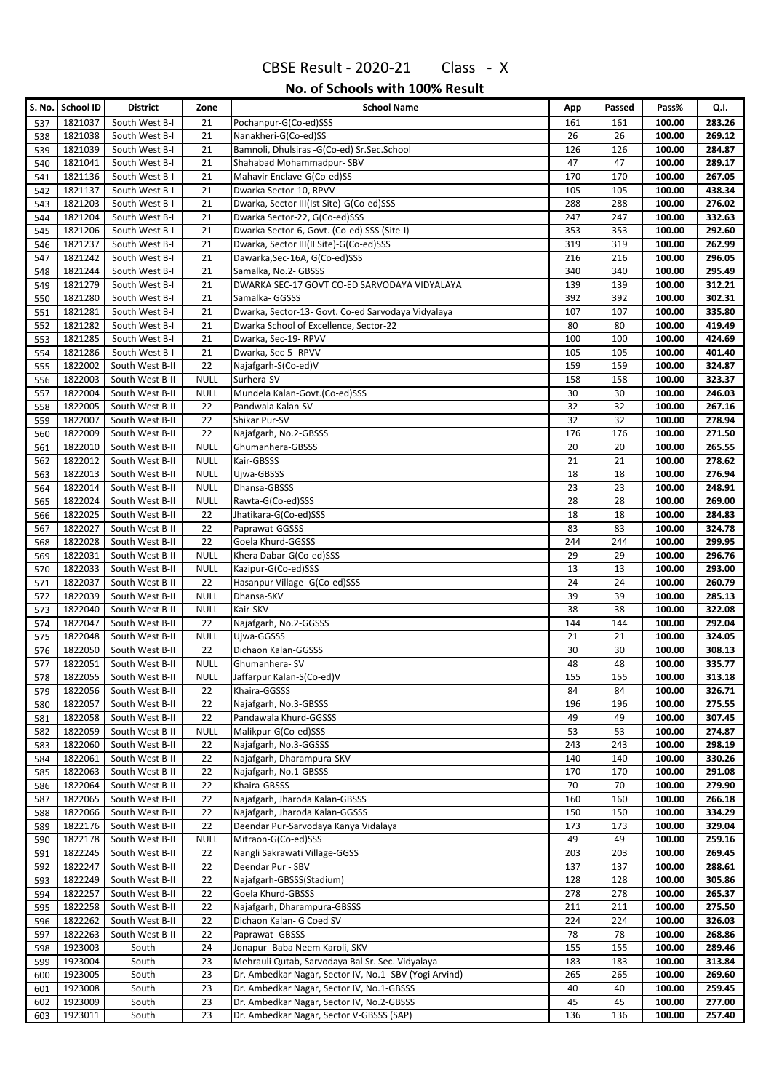|            | S. No. School ID   | <b>District</b>                    | Zone                       | <b>School Name</b>                                          | App        | Passed     | Pass%            | Q.I.             |
|------------|--------------------|------------------------------------|----------------------------|-------------------------------------------------------------|------------|------------|------------------|------------------|
| 537        | 1821037            | South West B-I                     | 21                         | Pochanpur-G(Co-ed)SSS                                       | 161        | 161        | 100.00           | 283.26           |
| 538        | 1821038            | South West B-I                     | 21                         | Nanakheri-G(Co-ed)SS                                        | 26         | 26         | 100.00           | 269.12           |
| 539        | 1821039            | South West B-I                     | 21                         | Bamnoli, Dhulsiras -G(Co-ed) Sr.Sec.School                  | 126        | 126        | 100.00           | 284.87           |
| 540        | 1821041            | South West B-I                     | 21                         | Shahabad Mohammadpur-SBV                                    | 47         | 47         | 100.00           | 289.17           |
| 541        | 1821136            | South West B-I                     | 21                         | Mahavir Enclave-G(Co-ed)SS                                  | 170        | 170        | 100.00           | 267.05           |
| 542        | 1821137            | South West B-I                     | 21                         | Dwarka Sector-10, RPVV                                      | 105        | 105        | 100.00           | 438.34           |
| 543        | 1821203            | South West B-I                     | 21                         | Dwarka, Sector III(Ist Site)-G(Co-ed)SSS                    | 288        | 288        | 100.00           | 276.02           |
| 544        | 1821204            | South West B-I                     | 21                         | Dwarka Sector-22, G(Co-ed)SSS                               | 247        | 247        | 100.00           | 332.63           |
| 545        | 1821206            | South West B-I                     | 21                         | Dwarka Sector-6, Govt. (Co-ed) SSS (Site-I)                 | 353        | 353        | 100.00           | 292.60           |
| 546        | 1821237            | South West B-I                     | 21                         | Dwarka, Sector III(II Site)-G(Co-ed)SSS                     | 319        | 319        | 100.00           | 262.99           |
| 547        | 1821242            | South West B-I                     | 21                         | Dawarka, Sec-16A, G(Co-ed)SSS                               | 216        | 216        | 100.00           | 296.05           |
| 548        | 1821244            | South West B-I                     | 21                         | Samalka, No.2- GBSSS                                        | 340        | 340        | 100.00           | 295.49           |
| 549        | 1821279            | South West B-I                     | 21                         | DWARKA SEC-17 GOVT CO-ED SARVODAYA VIDYALAYA                | 139        | 139        | 100.00           | 312.21           |
| 550        | 1821280            | South West B-I                     | 21                         | Samalka- GGSSS                                              | 392        | 392        | 100.00           | 302.31           |
| 551        | 1821281            | South West B-I                     | 21                         | Dwarka, Sector-13- Govt. Co-ed Sarvodaya Vidyalaya          | 107        | 107        | 100.00           | 335.80           |
| 552        | 1821282            | South West B-I                     | 21                         | Dwarka School of Excellence, Sector-22                      | 80         | 80         | 100.00           | 419.49           |
| 553        | 1821285            | South West B-I                     | 21                         | Dwarka, Sec-19-RPVV                                         | 100        | 100        | 100.00           | 424.69           |
| 554        | 1821286            | South West B-I                     | 21                         | Dwarka, Sec-5-RPVV                                          | 105        | 105        | 100.00           | 401.40           |
| 555        | 1822002            | South West B-II                    | 22                         | Najafgarh-S(Co-ed)V                                         | 159        | 159        | 100.00           | 324.87           |
| 556        | 1822003            | South West B-II                    | <b>NULL</b>                | Surhera-SV                                                  | 158        | 158        | 100.00           | 323.37           |
| 557        | 1822004            | South West B-II                    | <b>NULL</b>                | Mundela Kalan-Govt.(Co-ed)SSS                               | 30         | 30         | 100.00           | 246.03           |
| 558        | 1822005            | South West B-II                    | 22                         | Pandwala Kalan-SV                                           | 32         | 32         | 100.00           | 267.16           |
| 559        | 1822007            | South West B-II                    | 22                         | Shikar Pur-SV                                               | 32         | 32         | 100.00           | 278.94           |
| 560        | 1822009            | South West B-II                    | 22                         | Najafgarh, No.2-GBSSS                                       | 176        | 176        | 100.00           | 271.50           |
| 561        | 1822010<br>1822012 | South West B-II<br>South West B-II | <b>NULL</b><br><b>NULL</b> | Ghumanhera-GBSSS<br>Kair-GBSSS                              | 20<br>21   | 20<br>21   | 100.00<br>100.00 | 265.55<br>278.62 |
| 562        | 1822013            | South West B-II                    | <b>NULL</b>                | Ujwa-GBSSS                                                  | 18         | 18         | 100.00           | 276.94           |
| 563<br>564 | 1822014            | South West B-II                    | <b>NULL</b>                | Dhansa-GBSSS                                                | 23         | 23         | 100.00           | 248.91           |
| 565        | 1822024            | South West B-II                    | <b>NULL</b>                | Rawta-G(Co-ed)SSS                                           | 28         | 28         | 100.00           | 269.00           |
| 566        | 1822025            | South West B-II                    | 22                         | Jhatikara-G(Co-ed)SSS                                       | 18         | 18         | 100.00           | 284.83           |
| 567        | 1822027            | South West B-II                    | 22                         | Paprawat-GGSSS                                              | 83         | 83         | 100.00           | 324.78           |
| 568        | 1822028            | South West B-II                    | 22                         | Goela Khurd-GGSSS                                           | 244        | 244        | 100.00           | 299.95           |
| 569        | 1822031            | South West B-II                    | <b>NULL</b>                | Khera Dabar-G(Co-ed)SSS                                     | 29         | 29         | 100.00           | 296.76           |
| 570        | 1822033            | South West B-II                    | <b>NULL</b>                | Kazipur-G(Co-ed)SSS                                         | 13         | 13         | 100.00           | 293.00           |
| 571        | 1822037            | South West B-II                    | 22                         | Hasanpur Village- G(Co-ed)SSS                               | 24         | 24         | 100.00           | 260.79           |
| 572        | 1822039            | South West B-II                    | <b>NULL</b>                | Dhansa-SKV                                                  | 39         | 39         | 100.00           | 285.13           |
| 573        | 1822040            | South West B-II                    | <b>NULL</b>                | Kair-SKV                                                    | 38         | 38         | 100.00           | 322.08           |
| 574        | 1822047            | South West B-II                    | 22                         | Najafgarh, No.2-GGSSS                                       | 144        | 144        | 100.00           | 292.04           |
| 575        | 1822048            | South West B-II                    | <b>NULL</b>                | Ujwa-GGSSS                                                  | 21         | 21         | 100.00           | 324.05           |
| 576        | 1822050            | South West B-II                    | 22                         | Dichaon Kalan-GGSSS                                         | 30         | 30         | 100.00           | 308.13           |
| 577        | 1822051            | South West B-II                    | <b>NULL</b>                | Ghumanhera-SV                                               | 48         | 48         | 100.00           | 335.77           |
| 578        | 1822055            | South West B-II                    | <b>NULL</b>                | Jaffarpur Kalan-S(Co-ed)V                                   | 155        | 155        | 100.00           | 313.18           |
| 579        | 1822056            | South West B-II                    | 22                         | Khaira-GGSSS                                                | 84         | 84         | 100.00           | 326.71           |
| 580        | 1822057            | South West B-II                    | 22                         | Najafgarh, No.3-GBSSS                                       | 196        | 196        | 100.00           | 275.55           |
| 581        | 1822058            | South West B-II                    | 22                         | Pandawala Khurd-GGSSS                                       | 49         | 49         | 100.00           | 307.45           |
| 582        | 1822059            | South West B-II                    | <b>NULL</b>                | Malikpur-G(Co-ed)SSS                                        | 53         | 53         | 100.00           | 274.87           |
| 583        | 1822060            | South West B-II                    | 22                         | Najafgarh, No.3-GGSSS                                       | 243        | 243        | 100.00           | 298.19           |
| 584        | 1822061            | South West B-II                    | 22                         | Najafgarh, Dharampura-SKV                                   | 140        | 140        | 100.00           | 330.26           |
| 585        | 1822063            | South West B-II                    | 22                         | Najafgarh, No.1-GBSSS                                       | 170        | 170        | 100.00           | 291.08           |
| 586        | 1822064            | South West B-II                    | 22                         | Khaira-GBSSS                                                | 70         | 70         | 100.00           | 279.90           |
| 587        | 1822065            | South West B-II                    | 22                         | Najafgarh, Jharoda Kalan-GBSSS                              | 160        | 160        | 100.00           | 266.18           |
| 588        | 1822066            | South West B-II                    | 22                         | Najafgarh, Jharoda Kalan-GGSSS                              | 150        | 150        | 100.00           | 334.29           |
| 589        | 1822176            | South West B-II                    | 22                         | Deendar Pur-Sarvodaya Kanya Vidalaya<br>Mitraon-G(Co-ed)SSS | 173<br>49  | 173        | 100.00           | 329.04<br>259.16 |
| 590        | 1822178            | South West B-II                    | <b>NULL</b>                | Nangli Sakrawati Village-GGSS                               |            | 49         | 100.00           |                  |
| 591        | 1822245            | South West B-II                    | 22                         | Deendar Pur - SBV                                           | 203        | 203        | 100.00           | 269.45           |
| 592        | 1822247<br>1822249 | South West B-II<br>South West B-II | 22<br>22                   | Najafgarh-GBSSS(Stadium)                                    | 137<br>128 | 137<br>128 | 100.00<br>100.00 | 288.61<br>305.86 |
| 593<br>594 | 1822257            | South West B-II                    | 22                         | Goela Khurd-GBSSS                                           | 278        | 278        | 100.00           | 265.37           |
| 595        | 1822258            | South West B-II                    | 22                         | Najafgarh, Dharampura-GBSSS                                 | 211        | 211        | 100.00           | 275.50           |
| 596        | 1822262            | South West B-II                    | 22                         | Dichaon Kalan- G Coed SV                                    | 224        | 224        | 100.00           | 326.03           |
| 597        | 1822263            | South West B-II                    | 22                         | Paprawat- GBSSS                                             | 78         | 78         | 100.00           | 268.86           |
| 598        | 1923003            | South                              | 24                         | Jonapur- Baba Neem Karoli, SKV                              | 155        | 155        | 100.00           | 289.46           |
| 599        | 1923004            | South                              | 23                         | Mehrauli Qutab, Sarvodaya Bal Sr. Sec. Vidyalaya            | 183        | 183        | 100.00           | 313.84           |
| 600        | 1923005            | South                              | 23                         | Dr. Ambedkar Nagar, Sector IV, No.1- SBV (Yogi Arvind)      | 265        | 265        | 100.00           | 269.60           |
| 601        | 1923008            | South                              | 23                         | Dr. Ambedkar Nagar, Sector IV, No.1-GBSSS                   | 40         | 40         | 100.00           | 259.45           |
| 602        | 1923009            | South                              | 23                         | Dr. Ambedkar Nagar, Sector IV, No.2-GBSSS                   | 45         | 45         | 100.00           | 277.00           |
| 603        | 1923011            | South                              | 23                         | Dr. Ambedkar Nagar, Sector V-GBSSS (SAP)                    | 136        | 136        | 100.00           | 257.40           |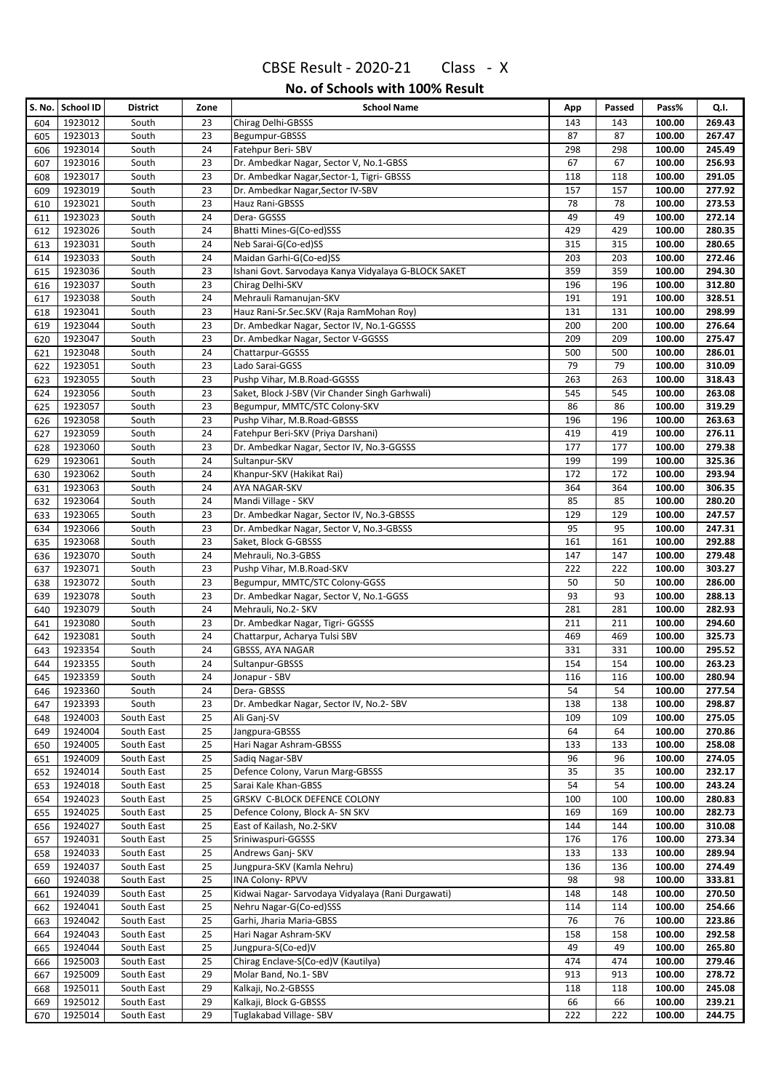|            | S. No. School ID   | <b>District</b>          | Zone     | <b>School Name</b>                                      | App        | Passed     | Pass%            | Q.I.             |
|------------|--------------------|--------------------------|----------|---------------------------------------------------------|------------|------------|------------------|------------------|
| 604        | 1923012            | South                    | 23       | Chirag Delhi-GBSSS                                      | 143        | 143        | 100.00           | 269.43           |
| 605        | 1923013            | South                    | 23       | Begumpur-GBSSS                                          | 87         | 87         | 100.00           | 267.47           |
| 606        | 1923014            | South                    | 24       | Fatehpur Beri-SBV                                       | 298        | 298        | 100.00           | 245.49           |
| 607        | 1923016            | South                    | 23       | Dr. Ambedkar Nagar, Sector V, No.1-GBSS                 | 67         | 67         | 100.00           | 256.93           |
| 608        | 1923017            | South                    | 23       | Dr. Ambedkar Nagar, Sector-1, Tigri- GBSSS              | 118        | 118        | 100.00           | 291.05           |
| 609        | 1923019            | South                    | 23       | Dr. Ambedkar Nagar, Sector IV-SBV                       | 157        | 157        | 100.00           | 277.92           |
| 610        | 1923021            | South                    | 23       | Hauz Rani-GBSSS                                         | 78         | 78         | 100.00           | 273.53           |
| 611        | 1923023            | South                    | 24       | Dera-GGSSS                                              | 49         | 49         | 100.00           | 272.14           |
| 612        | 1923026            | South                    | 24       | Bhatti Mines-G(Co-ed)SSS                                | 429        | 429        | 100.00           | 280.35           |
| 613        | 1923031            | South                    | 24       | Neb Sarai-G(Co-ed)SS                                    | 315        | 315        | 100.00           | 280.65           |
| 614        | 1923033            | South                    | 24       | Maidan Garhi-G(Co-ed)SS                                 | 203        | 203        | 100.00           | 272.46           |
| 615        | 1923036            | South                    | 23<br>23 | Ishani Govt. Sarvodaya Kanya Vidyalaya G-BLOCK SAKET    | 359        | 359        | 100.00           | 294.30           |
| 616        | 1923037<br>1923038 | South                    | 24       | Chirag Delhi-SKV<br>Mehrauli Ramanujan-SKV              | 196<br>191 | 196<br>191 | 100.00<br>100.00 | 312.80<br>328.51 |
| 617<br>618 | 1923041            | South<br>South           | 23       | Hauz Rani-Sr.Sec.SKV (Raja RamMohan Roy)                | 131        | 131        | 100.00           | 298.99           |
| 619        | 1923044            | South                    | 23       | Dr. Ambedkar Nagar, Sector IV, No.1-GGSSS               | 200        | 200        | 100.00           | 276.64           |
| 620        | 1923047            | South                    | 23       | Dr. Ambedkar Nagar, Sector V-GGSSS                      | 209        | 209        | 100.00           | 275.47           |
| 621        | 1923048            | South                    | 24       | Chattarpur-GGSSS                                        | 500        | 500        | 100.00           | 286.01           |
| 622        | 1923051            | South                    | 23       | Lado Sarai-GGSS                                         | 79         | 79         | 100.00           | 310.09           |
| 623        | 1923055            | South                    | 23       | Pushp Vihar, M.B.Road-GGSSS                             | 263        | 263        | 100.00           | 318.43           |
| 624        | 1923056            | South                    | 23       | Saket, Block J-SBV (Vir Chander Singh Garhwali)         | 545        | 545        | 100.00           | 263.08           |
| 625        | 1923057            | South                    | 23       | Begumpur, MMTC/STC Colony-SKV                           | 86         | 86         | 100.00           | 319.29           |
| 626        | 1923058            | South                    | 23       | Pushp Vihar, M.B.Road-GBSSS                             | 196        | 196        | 100.00           | 263.63           |
| 627        | 1923059            | South                    | 24       | Fatehpur Beri-SKV (Priya Darshani)                      | 419        | 419        | 100.00           | 276.11           |
| 628        | 1923060            | South                    | 23       | Dr. Ambedkar Nagar, Sector IV, No.3-GGSSS               | 177        | 177        | 100.00           | 279.38           |
| 629        | 1923061            | South                    | 24       | Sultanpur-SKV                                           | 199        | 199        | 100.00           | 325.36           |
| 630        | 1923062            | South                    | 24       | Khanpur-SKV (Hakikat Rai)                               | 172        | 172        | 100.00           | 293.94           |
| 631        | 1923063            | South                    | 24       | AYA NAGAR-SKV                                           | 364        | 364        | 100.00           | 306.35           |
| 632        | 1923064            | South                    | 24       | Mandi Village - SKV                                     | 85         | 85         | 100.00           | 280.20           |
| 633        | 1923065            | South                    | 23       | Dr. Ambedkar Nagar, Sector IV, No.3-GBSSS               | 129        | 129        | 100.00           | 247.57           |
| 634        | 1923066            | South                    | 23       | Dr. Ambedkar Nagar, Sector V, No.3-GBSSS                | 95         | 95         | 100.00           | 247.31           |
| 635        | 1923068            | South                    | 23       | Saket, Block G-GBSSS                                    | 161        | 161        | 100.00           | 292.88           |
| 636        | 1923070            | South                    | 24       | Mehrauli, No.3-GBSS                                     | 147        | 147        | 100.00           | 279.48           |
| 637        | 1923071            | South                    | 23       | Pushp Vihar, M.B.Road-SKV                               | 222        | 222        | 100.00           | 303.27           |
| 638        | 1923072            | South                    | 23       | Begumpur, MMTC/STC Colony-GGSS                          | 50         | 50         | 100.00           | 286.00           |
| 639        | 1923078<br>1923079 | South                    | 23<br>24 | Dr. Ambedkar Nagar, Sector V, No.1-GGSS                 | 93<br>281  | 93<br>281  | 100.00<br>100.00 | 288.13<br>282.93 |
| 640<br>641 | 1923080            | South<br>South           | 23       | Mehrauli, No.2- SKV<br>Dr. Ambedkar Nagar, Tigri- GGSSS | 211        | 211        | 100.00           | 294.60           |
| 642        | 1923081            | South                    | 24       | Chattarpur, Acharya Tulsi SBV                           | 469        | 469        | 100.00           | 325.73           |
| 643        | 1923354            | South                    | 24       | GBSSS, AYA NAGAR                                        | 331        | 331        | 100.00           | 295.52           |
| 644        | 1923355            | South                    | 24       | Sultanpur-GBSSS                                         | 154        | 154        | 100.00           | 263.23           |
| 645        | 1923359            | South                    | 24       | Jonapur - SBV                                           | 116        | 116        | 100.00           | 280.94           |
| 646        | 1923360            | South                    | 24       | Dera-GBSSS                                              | 54         | 54         | 100.00           | 277.54           |
| 647        | 1923393            | South                    | 23       | Dr. Ambedkar Nagar, Sector IV, No.2- SBV                | 138        | 138        | 100.00           | 298.87           |
| 648        | 1924003            | South East               | 25       | Ali Ganj-SV                                             | 109        | 109        | 100.00           | 275.05           |
| 649        | 1924004            | South East               | 25       | Jangpura-GBSSS                                          | 64         | 64         | 100.00           | 270.86           |
| 650        | 1924005            | South East               | 25       | Hari Nagar Ashram-GBSSS                                 | 133        | 133        | 100.00           | 258.08           |
| 651        | 1924009            | South East               | 25       | Sadiq Nagar-SBV                                         | 96         | 96         | 100.00           | 274.05           |
| 652        | 1924014            | South East               | 25       | Defence Colony, Varun Marg-GBSSS                        | 35         | 35         | 100.00           | 232.17           |
| 653        | 1924018            | South East               | 25       | Sarai Kale Khan-GBSS                                    | 54         | 54         | 100.00           | 243.24           |
| 654        | 1924023            | South East               | 25       | <b>GRSKV C-BLOCK DEFENCE COLONY</b>                     | 100        | 100        | 100.00           | 280.83           |
| 655        | 1924025            | South East               | 25       | Defence Colony, Block A- SN SKV                         | 169        | 169        | 100.00           | 282.73           |
| 656        | 1924027            | South East               | 25       | East of Kailash, No.2-SKV                               | 144        | 144        | 100.00           | 310.08           |
| 657        | 1924031            | South East               | 25       | Sriniwaspuri-GGSSS                                      | 176        | 176        | 100.00           | 273.34           |
| 658        | 1924033            | South East               | 25       | Andrews Ganj-SKV                                        | 133        | 133        | 100.00           | 289.94           |
| 659        | 1924037            | South East               | 25<br>25 | Jungpura-SKV (Kamla Nehru)<br><b>INA Colony-RPVV</b>    | 136        | 136        | 100.00           | 274.49           |
| 660        | 1924038<br>1924039 | South East<br>South East | 25       | Kidwai Nagar- Sarvodaya Vidyalaya (Rani Durgawati)      | 98<br>148  | 98<br>148  | 100.00<br>100.00 | 333.81<br>270.50 |
| 661<br>662 | 1924041            | South East               | 25       | Nehru Nagar-G(Co-ed)SSS                                 | 114        | 114        | 100.00           | 254.66           |
| 663        | 1924042            | South East               | 25       | Garhi, Jharia Maria-GBSS                                | 76         | 76         | 100.00           | 223.86           |
| 664        | 1924043            | South East               | 25       | Hari Nagar Ashram-SKV                                   | 158        | 158        | 100.00           | 292.58           |
| 665        | 1924044            | South East               | 25       | Jungpura-S(Co-ed)V                                      | 49         | 49         | 100.00           | 265.80           |
| 666        | 1925003            | South East               | 25       | Chirag Enclave-S(Co-ed)V (Kautilya)                     | 474        | 474        | 100.00           | 279.46           |
| 667        | 1925009            | South East               | 29       | Molar Band, No.1- SBV                                   | 913        | 913        | 100.00           | 278.72           |
| 668        | 1925011            | South East               | 29       | Kalkaji, No.2-GBSSS                                     | 118        | 118        | 100.00           | 245.08           |
| 669        | 1925012            | South East               | 29       | Kalkaji, Block G-GBSSS                                  | 66         | 66         | 100.00           | 239.21           |
| 670        | 1925014            | South East               | 29       | Tuglakabad Village- SBV                                 | 222        | 222        | 100.00           | 244.75           |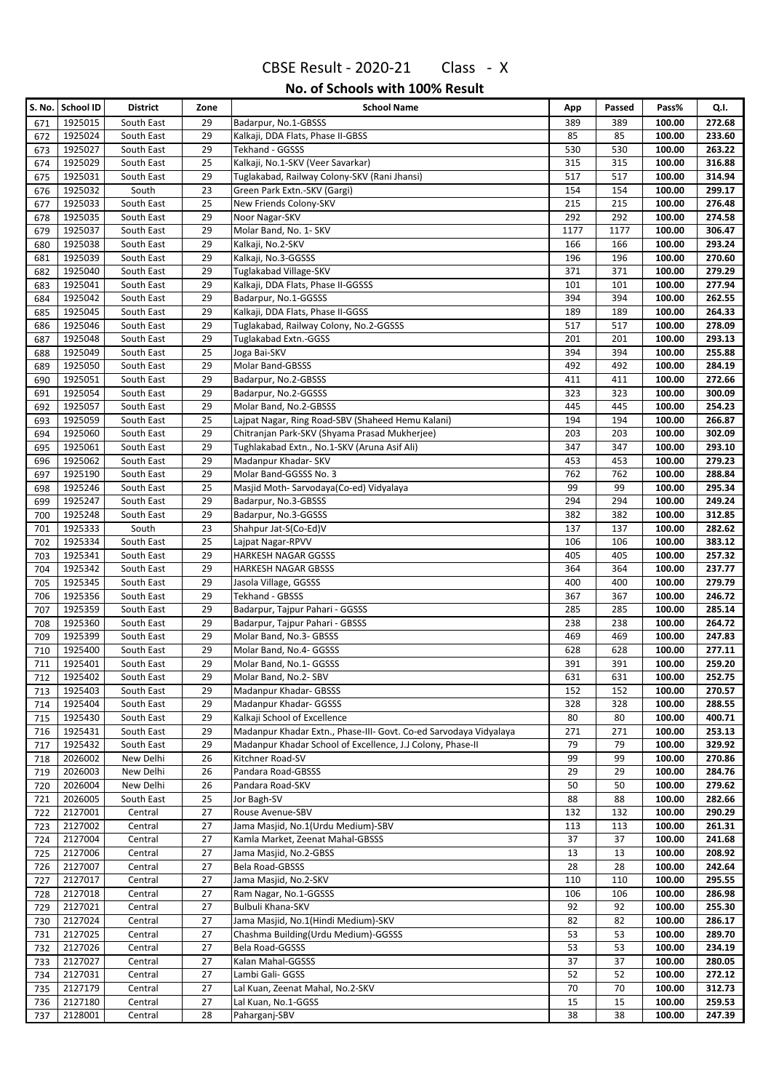| S. No.     | <b>School ID</b>   | <b>District</b>          | Zone     | <b>School Name</b>                                                | App        | Passed     | Pass%            | Q.I.             |
|------------|--------------------|--------------------------|----------|-------------------------------------------------------------------|------------|------------|------------------|------------------|
| 671        | 1925015            | South East               | 29       | Badarpur, No.1-GBSSS                                              | 389        | 389        | 100.00           | 272.68           |
| 672        | 1925024            | South East               | 29       | Kalkaji, DDA Flats, Phase II-GBSS                                 | 85         | 85         | 100.00           | 233.60           |
| 673        | 1925027            | South East               | 29       | Tekhand - GGSSS                                                   | 530        | 530        | 100.00           | 263.22           |
| 674        | 1925029            | South East               | 25       | Kalkaji, No.1-SKV (Veer Savarkar)                                 | 315        | 315        | 100.00           | 316.88           |
| 675        | 1925031            | South East               | 29       | Tuglakabad, Railway Colony-SKV (Rani Jhansi)                      | 517        | 517        | 100.00           | 314.94           |
| 676        | 1925032            | South                    | 23       | Green Park Extn.-SKV (Gargi)                                      | 154        | 154        | 100.00           | 299.17           |
| 677        | 1925033            | South East               | 25       | New Friends Colony-SKV                                            | 215        | 215        | 100.00           | 276.48           |
| 678        | 1925035            | South East               | 29       | Noor Nagar-SKV                                                    | 292        | 292        | 100.00           | 274.58           |
| 679        | 1925037            | South East               | 29       | Molar Band, No. 1- SKV                                            | 1177       | 1177       | 100.00           | 306.47           |
| 680        | 1925038            | South East               | 29       | Kalkaji, No.2-SKV                                                 | 166        | 166        | 100.00           | 293.24           |
| 681        | 1925039            | South East               | 29       | Kalkaji, No.3-GGSSS                                               | 196        | 196        | 100.00           | 270.60           |
| 682        | 1925040            | South East               | 29       | Tuglakabad Village-SKV                                            | 371        | 371        | 100.00           | 279.29           |
| 683        | 1925041            | South East               | 29       | Kalkaji, DDA Flats, Phase II-GGSSS                                | 101        | 101        | 100.00           | 277.94           |
| 684        | 1925042            | South East               | 29       | Badarpur, No.1-GGSSS                                              | 394        | 394        | 100.00           | 262.55           |
| 685        | 1925045            | South East               | 29       | Kalkaji, DDA Flats, Phase II-GGSS                                 | 189        | 189        | 100.00           | 264.33           |
| 686        | 1925046            | South East               | 29       | Tuglakabad, Railway Colony, No.2-GGSSS                            | 517        | 517        | 100.00           | 278.09           |
| 687        | 1925048            | South East               | 29       | Tuglakabad Extn.-GGSS                                             | 201        | 201        | 100.00           | 293.13           |
| 688        | 1925049            | South East               | 25       | Joga Bai-SKV                                                      | 394        | 394        | 100.00           | 255.88           |
| 689        | 1925050            | South East               | 29       | Molar Band-GBSSS                                                  | 492        | 492        | 100.00           | 284.19           |
| 690        | 1925051            | South East               | 29       | Badarpur, No.2-GBSSS                                              | 411        | 411        | 100.00           | 272.66           |
| 691        | 1925054            | South East               | 29       | Badarpur, No.2-GGSSS                                              | 323        | 323        | 100.00           | 300.09           |
| 692        | 1925057            | South East               | 29       | Molar Band, No.2-GBSSS                                            | 445        | 445        | 100.00           | 254.23           |
| 693        | 1925059            | South East               | 25       | Lajpat Nagar, Ring Road-SBV (Shaheed Hemu Kalani)                 | 194        | 194        | 100.00           | 266.87           |
| 694        | 1925060            | South East               | 29       | Chitranian Park-SKV (Shyama Prasad Mukherjee)                     | 203        | 203        | 100.00           | 302.09           |
| 695        | 1925061            | South East               | 29       | Tughlakabad Extn., No.1-SKV (Aruna Asif Ali)                      | 347        | 347        | 100.00           | 293.10           |
| 696        | 1925062            | South East               | 29       | Madanpur Khadar- SKV                                              | 453        | 453        | 100.00           | 279.23           |
| 697        | 1925190            | South East               | 29       | Molar Band-GGSSS No. 3                                            | 762        | 762        | 100.00           | 288.84           |
| 698        | 1925246            | South East               | 25       | Masjid Moth-Sarvodaya(Co-ed) Vidyalaya                            | 99         | 99         | 100.00           | 295.34           |
| 699        | 1925247            | South East               | 29       | Badarpur, No.3-GBSSS                                              | 294        | 294        | 100.00           | 249.24           |
| 700        | 1925248            | South East               | 29       | Badarpur, No.3-GGSSS                                              | 382        | 382        | 100.00           | 312.85           |
| 701        | 1925333            | South                    | 23       | Shahpur Jat-S(Co-Ed)V                                             | 137        | 137        | 100.00           | 282.62           |
| 702        | 1925334            | South East               | 25       | Lajpat Nagar-RPVV                                                 | 106        | 106        | 100.00           | 383.12           |
| 703        | 1925341            | South East               | 29       | <b>HARKESH NAGAR GGSSS</b>                                        | 405<br>364 | 405        | 100.00           | 257.32<br>237.77 |
| 704        | 1925342            | South East               | 29       | <b>HARKESH NAGAR GBSSS</b>                                        |            | 364        | 100.00           |                  |
| 705        | 1925345            | South East               | 29       | Jasola Village, GGSSS                                             | 400        | 400        | 100.00           | 279.79           |
| 706        | 1925356            | South East               | 29       | Tekhand - GBSSS                                                   | 367        | 367        | 100.00           | 246.72<br>285.14 |
| 707        | 1925359            | South East               | 29       | Badarpur, Tajpur Pahari - GGSSS                                   | 285        | 285        | 100.00           | 264.72           |
| 708        | 1925360            | South East<br>South East | 29       | Badarpur, Tajpur Pahari - GBSSS                                   | 238        | 238        | 100.00           |                  |
| 709        | 1925399<br>1925400 | South East               | 29<br>29 | Molar Band, No.3- GBSSS<br>Molar Band, No.4- GGSSS                | 469<br>628 | 469<br>628 | 100.00<br>100.00 | 247.83<br>277.11 |
| 710<br>711 | 1925401            | South East               | 29       | Molar Band, No.1- GGSSS                                           | 391        | 391        | 100.00           | 259.20           |
| 712        | 1925402            | South East               | 29       | Molar Band, No.2- SBV                                             | 631        | 631        | 100.00           | 252.75           |
| 713        | 1925403            | South East               | 29       | Madanpur Khadar- GBSSS                                            | 152        | 152        | 100.00           | 270.57           |
| 714        | 1925404            | South East               | 29       | Madanpur Khadar- GGSSS                                            | 328        | 328        | 100.00           | 288.55           |
| 715        | 1925430            | South East               | 29       | Kalkaji School of Excellence                                      | 80         | 80         | 100.00           | 400.71           |
| 716        | 1925431            | South East               | 29       | Madanpur Khadar Extn., Phase-III- Govt. Co-ed Sarvodaya Vidyalaya | 271        | 271        | 100.00           | 253.13           |
| 717        | 1925432            | South East               | 29       | Madanpur Khadar School of Excellence, J.J Colony, Phase-II        | 79         | 79         | 100.00           | 329.92           |
| 718        | 2026002            | New Delhi                | 26       | Kitchner Road-SV                                                  | 99         | 99         | 100.00           | 270.86           |
| 719        | 2026003            | New Delhi                | 26       | Pandara Road-GBSSS                                                | 29         | 29         | 100.00           | 284.76           |
| 720        | 2026004            | New Delhi                | 26       | Pandara Road-SKV                                                  | 50         | 50         | 100.00           | 279.62           |
| 721        | 2026005            | South East               | 25       | Jor Bagh-SV                                                       | 88         | 88         | 100.00           | 282.66           |
| 722        | 2127001            | Central                  | 27       | Rouse Avenue-SBV                                                  | 132        | 132        | 100.00           | 290.29           |
| 723        | 2127002            | Central                  | 27       | Jama Masjid, No.1(Urdu Medium)-SBV                                | 113        | 113        | 100.00           | 261.31           |
| 724        | 2127004            | Central                  | 27       | Kamla Market, Zeenat Mahal-GBSSS                                  | 37         | 37         | 100.00           | 241.68           |
| 725        | 2127006            | Central                  | 27       | Jama Masjid, No.2-GBSS                                            | 13         | 13         | 100.00           | 208.92           |
| 726        | 2127007            | Central                  | 27       | Bela Road-GBSSS                                                   | 28         | 28         | 100.00           | 242.64           |
| 727        | 2127017            | Central                  | 27       | Jama Masjid, No.2-SKV                                             | 110        | 110        | 100.00           | 295.55           |
| 728        | 2127018            | Central                  | 27       | Ram Nagar, No.1-GGSSS                                             | 106        | 106        | 100.00           | 286.98           |
| 729        | 2127021            | Central                  | 27       | Bulbuli Khana-SKV                                                 | 92         | 92         | 100.00           | 255.30           |
| 730        | 2127024            | Central                  | 27       | Jama Masjid, No.1(Hindi Medium)-SKV                               | 82         | 82         | 100.00           | 286.17           |
| 731        | 2127025            | Central                  | 27       | Chashma Building(Urdu Medium)-GGSSS                               | 53         | 53         | 100.00           | 289.70           |
| 732        | 2127026            | Central                  | 27       | Bela Road-GGSSS                                                   | 53         | 53         | 100.00           | 234.19           |
| 733        | 2127027            | Central                  | 27       | Kalan Mahal-GGSSS                                                 | 37         | 37         | 100.00           | 280.05           |
| 734        | 2127031            | Central                  | 27       | Lambi Gali- GGSS                                                  | 52         | 52         | 100.00           | 272.12           |
| 735        | 2127179            | Central                  | 27       | Lal Kuan, Zeenat Mahal, No.2-SKV                                  | 70         | 70         | 100.00           | 312.73           |
| 736        | 2127180            | Central                  | 27       | Lal Kuan, No.1-GGSS                                               | 15         | 15         | 100.00           | 259.53           |
| 737        | 2128001            | Central                  | 28       | Paharganj-SBV                                                     | 38         | 38         | 100.00           | 247.39           |